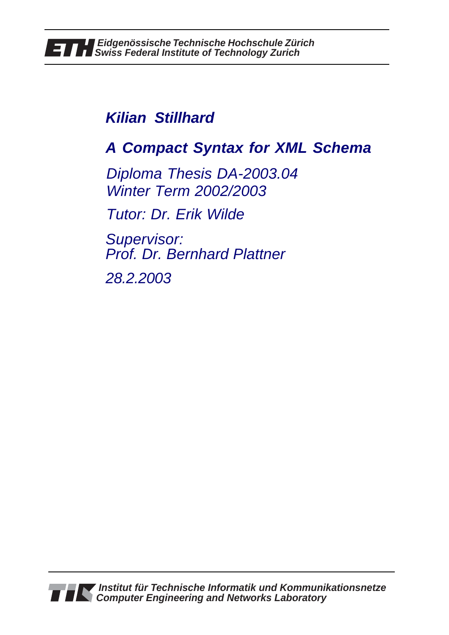## **Kilian Stillhard**

# **A Compact Syntax for XML Schema**

Diploma Thesis DA-2003.04 Winter Term 2002/2003

Tutor: Dr. Erik Wilde

Supervisor: Prof. Dr. Bernhard Plattner

28.2.2003

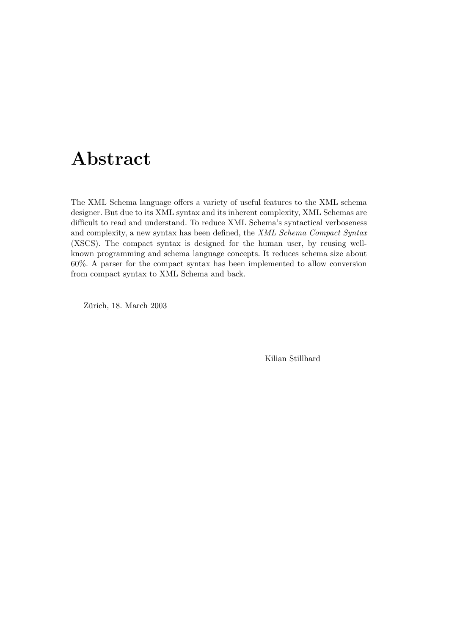## Abstract

The XML Schema language offers a variety of useful features to the XML schema designer. But due to its XML syntax and its inherent complexity, XML Schemas are difficult to read and understand. To reduce XML Schema's syntactical verboseness and complexity, a new syntax has been defined, the XML Schema Compact Syntax (XSCS). The compact syntax is designed for the human user, by reusing wellknown programming and schema language concepts. It reduces schema size about 60%. A parser for the compact syntax has been implemented to allow conversion from compact syntax to XML Schema and back.

Zürich, 18. March 2003

Kilian Stillhard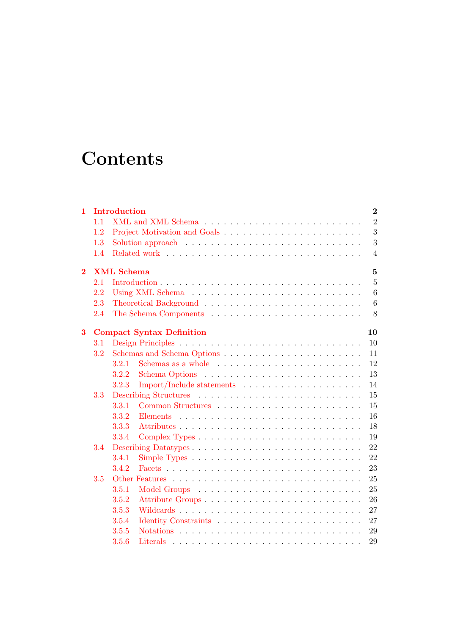# **Contents**

| $\mathbf{1}$   |                                     | Introduction   |                                                                            | $\bf{2}$        |  |  |  |  |  |  |  |  |  |
|----------------|-------------------------------------|----------------|----------------------------------------------------------------------------|-----------------|--|--|--|--|--|--|--|--|--|
|                | 1.1                                 |                |                                                                            | $\overline{2}$  |  |  |  |  |  |  |  |  |  |
|                | 1.2                                 |                |                                                                            | 3               |  |  |  |  |  |  |  |  |  |
|                | 1.3                                 |                |                                                                            | 3               |  |  |  |  |  |  |  |  |  |
|                | 1.4                                 |                |                                                                            | $\overline{4}$  |  |  |  |  |  |  |  |  |  |
| $\overline{2}$ | <b>XML</b> Schema<br>$\overline{5}$ |                |                                                                            |                 |  |  |  |  |  |  |  |  |  |
|                | 2.1                                 | $\overline{5}$ |                                                                            |                 |  |  |  |  |  |  |  |  |  |
|                | 2.2                                 |                |                                                                            | 6               |  |  |  |  |  |  |  |  |  |
|                | 2.3                                 |                |                                                                            | $6\phantom{.}6$ |  |  |  |  |  |  |  |  |  |
|                | 2.4                                 |                |                                                                            | 8               |  |  |  |  |  |  |  |  |  |
| 3              |                                     |                | <b>Compact Syntax Definition</b>                                           | 10              |  |  |  |  |  |  |  |  |  |
|                | $3.1\,$                             |                |                                                                            | 10              |  |  |  |  |  |  |  |  |  |
|                | 3.2                                 |                |                                                                            | 11              |  |  |  |  |  |  |  |  |  |
|                |                                     | 3.2.1          | Schemas as a whole $\dots \dots \dots \dots \dots \dots \dots \dots \dots$ | 12              |  |  |  |  |  |  |  |  |  |
|                |                                     | 3.2.2          |                                                                            | 13              |  |  |  |  |  |  |  |  |  |
|                |                                     | 3.2.3          | Import/Include statements                                                  | 14              |  |  |  |  |  |  |  |  |  |
|                | 3.3                                 |                |                                                                            | 15              |  |  |  |  |  |  |  |  |  |
|                |                                     | 3.3.1          |                                                                            | 15              |  |  |  |  |  |  |  |  |  |
|                |                                     | 3.3.2          | Elements                                                                   | 16              |  |  |  |  |  |  |  |  |  |
|                |                                     | 3.3.3          |                                                                            | 18              |  |  |  |  |  |  |  |  |  |
|                |                                     | 3.3.4          |                                                                            | 19              |  |  |  |  |  |  |  |  |  |
|                | 3.4                                 |                |                                                                            | 22              |  |  |  |  |  |  |  |  |  |
|                |                                     | 3.4.1          |                                                                            | 22              |  |  |  |  |  |  |  |  |  |
|                |                                     | 3.4.2          |                                                                            | 23              |  |  |  |  |  |  |  |  |  |
|                | 3.5                                 |                |                                                                            | 25              |  |  |  |  |  |  |  |  |  |
|                |                                     | 3.5.1          |                                                                            | 25              |  |  |  |  |  |  |  |  |  |
|                |                                     | 3.5.2          | Attribute Groups                                                           | 26              |  |  |  |  |  |  |  |  |  |
|                |                                     | 3.5.3          | Wildcards                                                                  | 27              |  |  |  |  |  |  |  |  |  |
|                |                                     | 3.5.4          |                                                                            | 27              |  |  |  |  |  |  |  |  |  |
|                |                                     | 3.5.5          |                                                                            | 29              |  |  |  |  |  |  |  |  |  |
|                |                                     | 3.5.6          |                                                                            | 29              |  |  |  |  |  |  |  |  |  |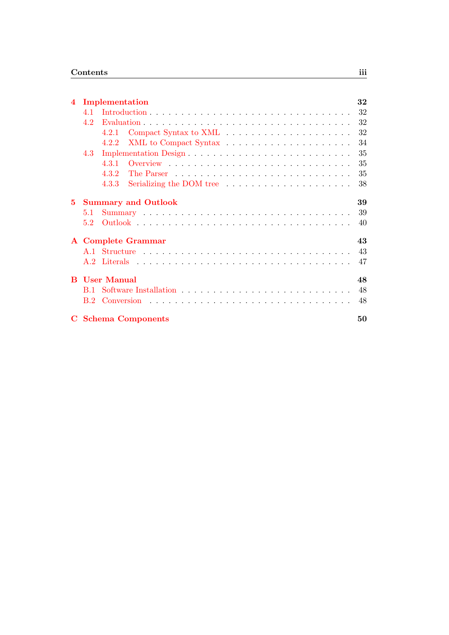| $\overline{\mathbf{4}}$ |     | Implementation                                                          | 32 |
|-------------------------|-----|-------------------------------------------------------------------------|----|
|                         | 4.1 |                                                                         | 32 |
|                         | 4.2 |                                                                         | 32 |
|                         |     | 4.2.1                                                                   | 32 |
|                         |     | 4.2.2                                                                   | 34 |
|                         | 4.3 |                                                                         | 35 |
|                         |     | 4.3.1                                                                   | 35 |
|                         |     | 4.3.2                                                                   | 35 |
|                         |     | Serializing the DOM tree $\dots \dots \dots \dots \dots \dots$<br>4.3.3 | 38 |
| 5.                      |     | <b>Summary and Outlook</b>                                              | 39 |
|                         | 5.1 |                                                                         | 39 |
|                         | 5.2 |                                                                         | 40 |
|                         |     | <b>A</b> Complete Grammar                                               | 43 |
|                         |     |                                                                         | 43 |
|                         |     |                                                                         | 47 |
| B.                      |     | <b>User Manual</b>                                                      | 48 |
|                         |     |                                                                         | 48 |
|                         | B.2 |                                                                         | 48 |
|                         |     | <b>C</b> Schema Components                                              | 50 |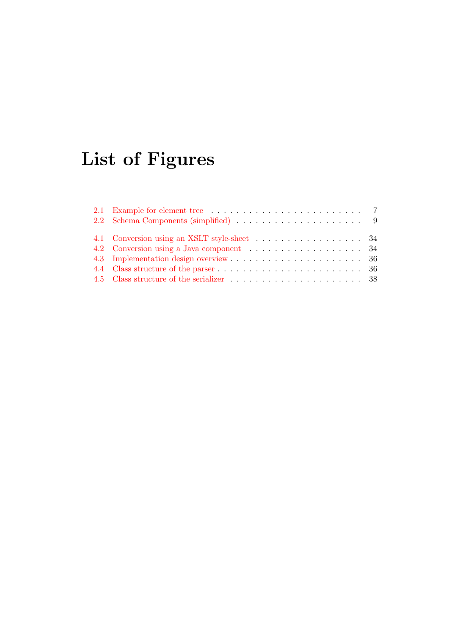# List of Figures

| 4.2 Conversion using a Java component 34 |  |
|------------------------------------------|--|
|                                          |  |
|                                          |  |
|                                          |  |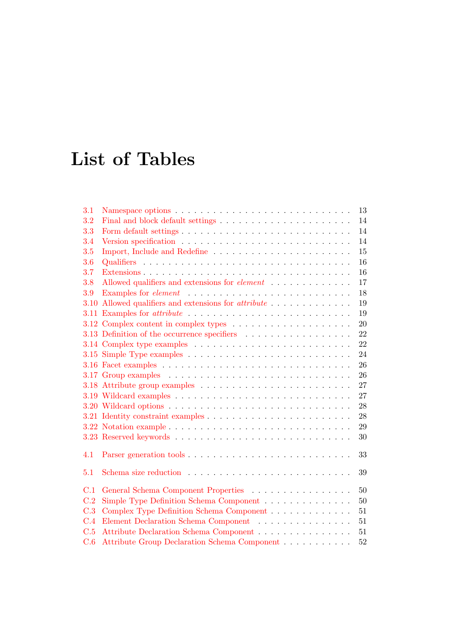# List of Tables

| 3.1  | 13                                                                                               |
|------|--------------------------------------------------------------------------------------------------|
| 3.2  | Final and block default settings $\ldots \ldots \ldots \ldots \ldots \ldots \ldots \ldots$<br>14 |
| 3.3  | 14                                                                                               |
| 3.4  | 14                                                                                               |
| 3.5  | 15                                                                                               |
| 3.6  | 16                                                                                               |
| 3.7  | 16                                                                                               |
| 3.8  | Allowed qualifiers and extensions for <i>element</i><br>17                                       |
| 3.9  | 18                                                                                               |
| 3.10 | 19                                                                                               |
|      | 19                                                                                               |
|      | 20                                                                                               |
|      | 3.13 Definition of the occurrence specifiers<br>22                                               |
|      | 22                                                                                               |
|      | 24                                                                                               |
|      | 26                                                                                               |
|      | 26                                                                                               |
|      | 27                                                                                               |
|      | 27                                                                                               |
|      | 28                                                                                               |
|      | 28                                                                                               |
|      | 29                                                                                               |
|      | 30                                                                                               |
| 4.1  | 33                                                                                               |
|      |                                                                                                  |
| 5.1  | 39                                                                                               |
| C.1  | General Schema Component Properties<br>50                                                        |
| C.2  | Simple Type Definition Schema Component<br>50                                                    |
| C.3  | Complex Type Definition Schema Component<br>51                                                   |
| C.4  | Element Declaration Schema Component $\ldots \ldots \ldots \ldots \ldots$<br>51                  |
| C.5  | Attribute Declaration Schema Component<br>51                                                     |
| C.6  | Attribute Group Declaration Schema Component<br>52                                               |
|      |                                                                                                  |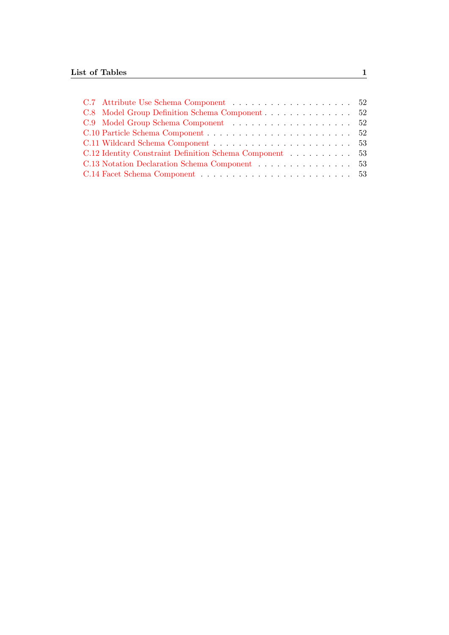|  |  |  |  |  | C.12 Identity Constraint Definition Schema Component 53<br>C.13 Notation Declaration Schema Component 53 |
|--|--|--|--|--|----------------------------------------------------------------------------------------------------------|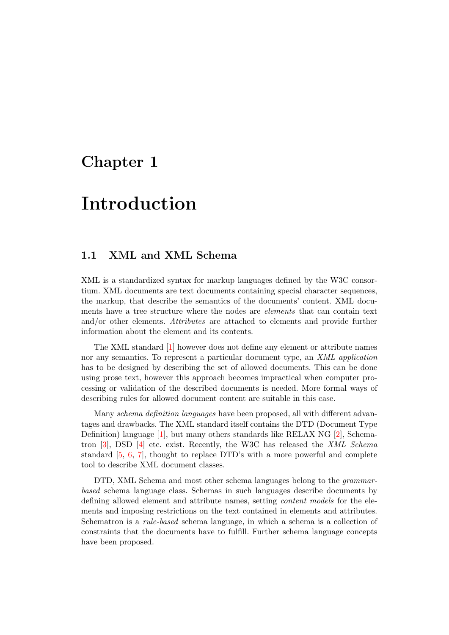## <span id="page-7-0"></span>Chapter 1

## Introduction

### <span id="page-7-1"></span>1.1 XML and XML Schema

XML is a standardized syntax for markup languages defined by the W3C consortium. XML documents are text documents containing special character sequences, the markup, that describe the semantics of the documents' content. XML documents have a tree structure where the nodes are elements that can contain text and/or other elements. Attributes are attached to elements and provide further information about the element and its contents.

The XML standard [\[1\]](#page-46-0) however does not define any element or attribute names nor any semantics. To represent a particular document type, an XML application has to be designed by describing the set of allowed documents. This can be done using prose text, however this approach becomes impractical when computer processing or validation of the described documents is needed. More formal ways of describing rules for allowed document content are suitable in this case.

Many schema definition languages have been proposed, all with different advantages and drawbacks. The XML standard itself contains the DTD (Document Type Definition) language [\[1\]](#page-46-0), but many others standards like RELAX NG [\[2\]](#page-46-1), Schematron  $[3]$ , DSD  $[4]$  etc. exist. Recently, the W3C has released the *XML Schema* standard [\[5,](#page-46-4) [6,](#page-46-5) [7\]](#page-46-6), thought to replace DTD's with a more powerful and complete tool to describe XML document classes.

DTD, XML Schema and most other schema languages belong to the *grammar*based schema language class. Schemas in such languages describe documents by defining allowed element and attribute names, setting content models for the elements and imposing restrictions on the text contained in elements and attributes. Schematron is a rule-based schema language, in which a schema is a collection of constraints that the documents have to fulfill. Further schema language concepts have been proposed.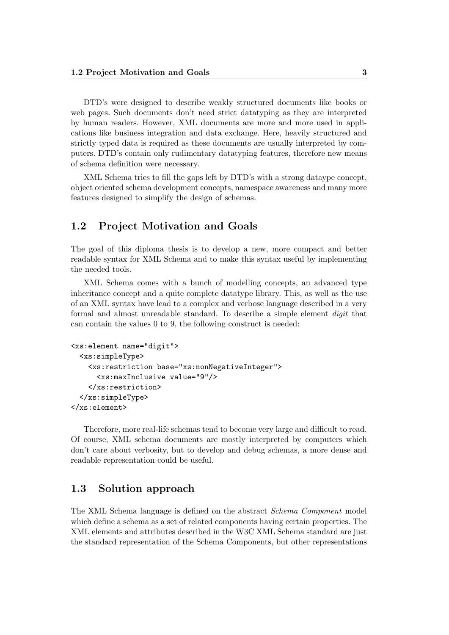DTD's were designed to describe weakly structured documents like books or web pages. Such documents don't need strict datatyping as they are interpreted by human readers. However, XML documents are more and more used in applications like business integration and data exchange. Here, heavily structured and strictly typed data is required as these documents are usually interpreted by computers. DTD's contain only rudimentary datatyping features, therefore new means of schema definition were necessary.

XML Schema tries to fill the gaps left by DTD's with a strong dataype concept, object oriented schema development concepts, namespace awareness and many more features designed to simplify the design of schemas.

### <span id="page-8-0"></span>1.2 Project Motivation and Goals

The goal of this diploma thesis is to develop a new, more compact and better readable syntax for XML Schema and to make this syntax useful by implementing the needed tools.

XML Schema comes with a bunch of modelling concepts, an advanced type inheritance concept and a quite complete datatype library. This, as well as the use of an XML syntax have lead to a complex and verbose language described in a very formal and almost unreadable standard. To describe a simple element digit that can contain the values 0 to 9, the following construct is needed:

```
<xs:element name="digit">
  <xs:simpleType>
    <xs:restriction base="xs:nonNegativeInteger">
      <xs:maxInclusive value="9"/>
    </xs:restriction>
  </xs:simpleType>
</xs:element>
```
Therefore, more real-life schemas tend to become very large and difficult to read. Of course, XML schema documents are mostly interpreted by computers which don't care about verbosity, but to develop and debug schemas, a more dense and readable representation could be useful.

### <span id="page-8-1"></span>1.3 Solution approach

The XML Schema language is defined on the abstract Schema Component model which define a schema as a set of related components having certain properties. The XML elements and attributes described in the W3C XML Schema standard are just the standard representation of the Schema Components, but other representations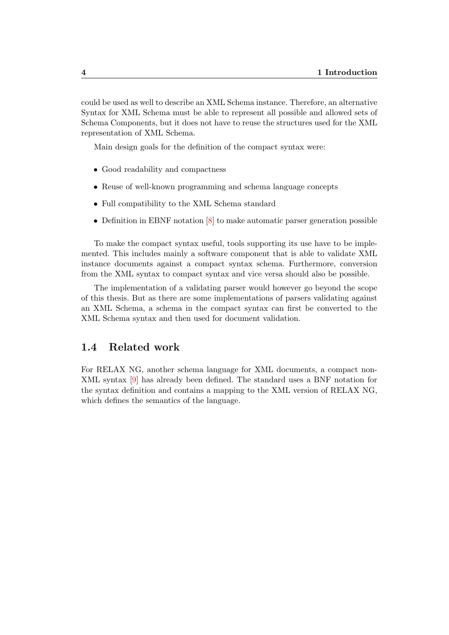could be used as well to describe an XML Schema instance. Therefore, an alternative Syntax for XML Schema must be able to represent all possible and allowed sets of Schema Components, but it does not have to reuse the structures used for the XML representation of XML Schema.

Main design goals for the definition of the compact syntax were:

- Good readability and compactness
- Reuse of well-known programming and schema language concepts
- Full compatibility to the XML Schema standard
- Definition in EBNF notation  $[8]$  to make automatic parser generation possible

To make the compact syntax useful, tools supporting its use have to be implemented. This includes mainly a software component that is able to validate XML instance documents against a compact syntax schema. Furthermore, conversion from the XML syntax to compact syntax and vice versa should also be possible.

The implementation of a validating parser would however go beyond the scope of this thesis. But as there are some implementations of parsers validating against an XML Schema, a schema in the compact syntax can first be converted to the XML Schema syntax and then used for document validation.

#### <span id="page-9-0"></span>1.4 Related work

For RELAX NG, another schema language for XML documents, a compact non-XML syntax [\[9\]](#page-46-8) has already been defined. The standard uses a BNF notation for the syntax definition and contains a mapping to the XML version of RELAX NG, which defines the semantics of the language.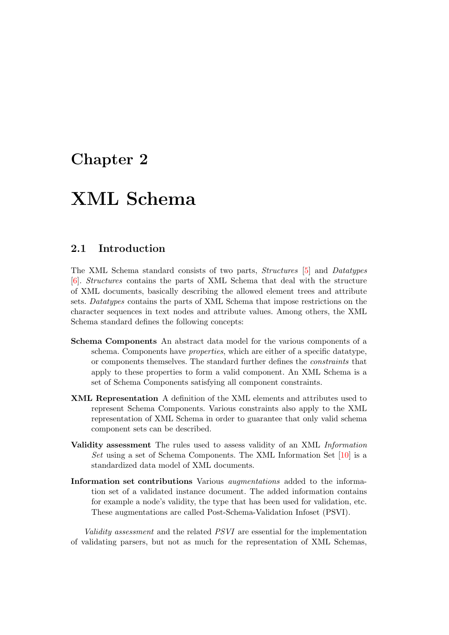## <span id="page-10-0"></span>Chapter 2

## XML Schema

### <span id="page-10-1"></span>2.1 Introduction

The XML Schema standard consists of two parts, Structures [\[5\]](#page-46-4) and Datatypes [\[6\]](#page-46-5). Structures contains the parts of XML Schema that deal with the structure of XML documents, basically describing the allowed element trees and attribute sets. Datatypes contains the parts of XML Schema that impose restrictions on the character sequences in text nodes and attribute values. Among others, the XML Schema standard defines the following concepts:

- Schema Components An abstract data model for the various components of a schema. Components have properties, which are either of a specific datatype, or components themselves. The standard further defines the constraints that apply to these properties to form a valid component. An XML Schema is a set of Schema Components satisfying all component constraints.
- XML Representation A definition of the XML elements and attributes used to represent Schema Components. Various constraints also apply to the XML representation of XML Schema in order to guarantee that only valid schema component sets can be described.
- Validity assessment The rules used to assess validity of an XML Information Set using a set of Schema Components. The XML Information Set [\[10\]](#page-46-9) is a standardized data model of XML documents.
- Information set contributions Various augmentations added to the information set of a validated instance document. The added information contains for example a node's validity, the type that has been used for validation, etc. These augmentations are called Post-Schema-Validation Infoset (PSVI).

Validity assessment and the related PSVI are essential for the implementation of validating parsers, but not as much for the representation of XML Schemas,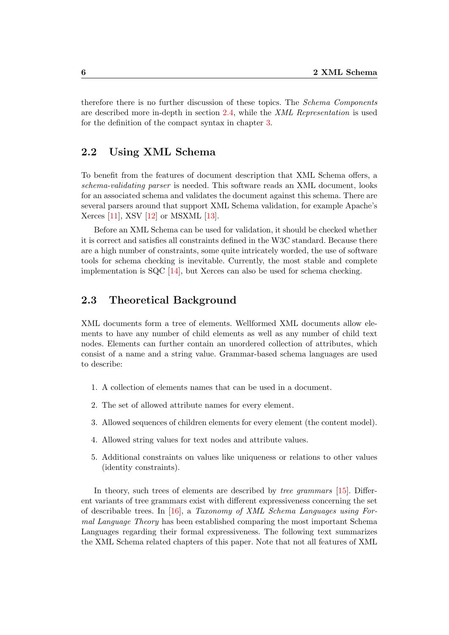therefore there is no further discussion of these topics. The Schema Components are described more in-depth in section [2.4,](#page-13-0) while the XML Representation is used for the definition of the compact syntax in chapter [3.](#page-15-0)

### <span id="page-11-0"></span>2.2 Using XML Schema

To benefit from the features of document description that XML Schema offers, a schema-validating parser is needed. This software reads an XML document, looks for an associated schema and validates the document against this schema. There are several parsers around that support XML Schema validation, for example Apache's Xerces [\[11\]](#page-46-10), XSV [\[12\]](#page-46-11) or MSXML [\[13\]](#page-46-12).

Before an XML Schema can be used for validation, it should be checked whether it is correct and satisfies all constraints defined in the W3C standard. Because there are a high number of constraints, some quite intricately worded, the use of software tools for schema checking is inevitable. Currently, the most stable and complete implementation is  $SQC$  [\[14\]](#page-46-13), but Xerces can also be used for schema checking.

### <span id="page-11-1"></span>2.3 Theoretical Background

XML documents form a tree of elements. Wellformed XML documents allow elements to have any number of child elements as well as any number of child text nodes. Elements can further contain an unordered collection of attributes, which consist of a name and a string value. Grammar-based schema languages are used to describe:

- 1. A collection of elements names that can be used in a document.
- 2. The set of allowed attribute names for every element.
- 3. Allowed sequences of children elements for every element (the content model).
- 4. Allowed string values for text nodes and attribute values.
- 5. Additional constraints on values like uniqueness or relations to other values (identity constraints).

In theory, such trees of elements are described by *tree grammars* [\[15\]](#page-47-0). Different variants of tree grammars exist with different expressiveness concerning the set of describable trees. In [\[16\]](#page-47-1), a Taxonomy of XML Schema Languages using Formal Language Theory has been established comparing the most important Schema Languages regarding their formal expressiveness. The following text summarizes the XML Schema related chapters of this paper. Note that not all features of XML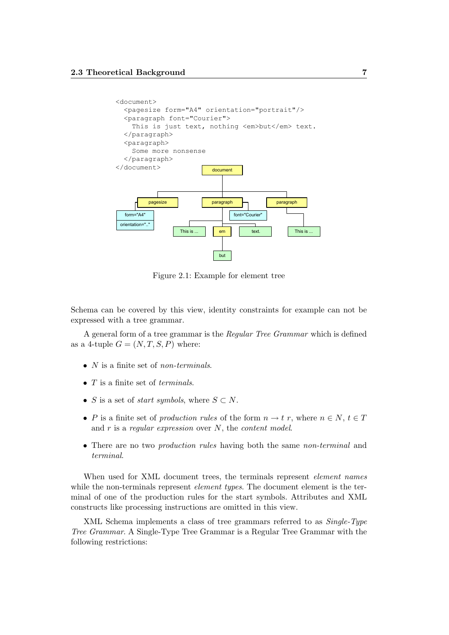

<span id="page-12-0"></span>Figure 2.1: Example for element tree

Schema can be covered by this view, identity constraints for example can not be expressed with a tree grammar.

A general form of a tree grammar is the Regular Tree Grammar which is defined as a 4-tuple  $G = (N, T, S, P)$  where:

- $N$  is a finite set of non-terminals.
- $\bullet$  T is a finite set of *terminals*.
- S is a set of *start symbols*, where  $S \subset N$ .
- P is a finite set of production rules of the form  $n \to t$  r, where  $n \in N$ ,  $t \in T$ and  $r$  is a regular expression over  $N$ , the content model.
- There are no two *production rules* having both the same *non-terminal* and terminal.

When used for XML document trees, the terminals represent *element names* while the non-terminals represent *element types*. The document element is the terminal of one of the production rules for the start symbols. Attributes and XML constructs like processing instructions are omitted in this view.

XML Schema implements a class of tree grammars referred to as  $Single-Type$ Tree Grammar. A Single-Type Tree Grammar is a Regular Tree Grammar with the following restrictions: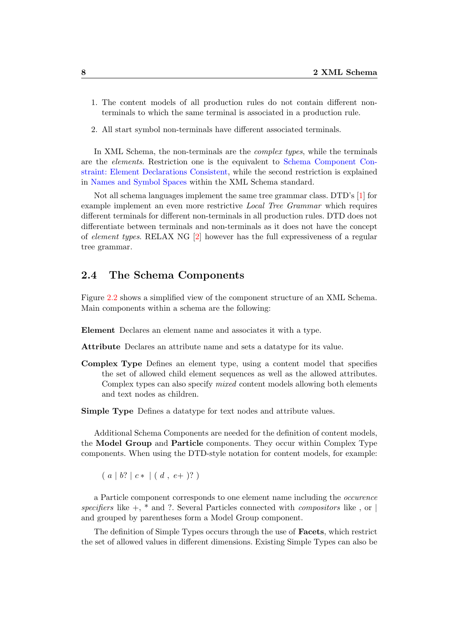- 1. The content models of all production rules do not contain different nonterminals to which the same terminal is associated in a production rule.
- 2. All start symbol non-terminals have different associated terminals.

In XML Schema, the non-terminals are the *complex types*, while the terminals are the elements. Restriction one is the equivalent to [Schema Component Con](http://www.w3.org/TR/xmlschema-1/#cos-element-consistent)[straint: Element Declarations Consistent,](http://www.w3.org/TR/xmlschema-1/#cos-element-consistent) while the second restriction is explained in [Names and Symbol Spaces](http://www.w3.org/TR/xmlschema-1/#concepts-nameSymbolSpaces) within the XML Schema standard.

Not all schema languages implement the same tree grammar class. DTD's [\[1\]](#page-46-0) for example implement an even more restrictive Local Tree Grammar which requires different terminals for different non-terminals in all production rules. DTD does not differentiate between terminals and non-terminals as it does not have the concept of element types. RELAX NG [\[2\]](#page-46-1) however has the full expressiveness of a regular tree grammar.

### <span id="page-13-0"></span>2.4 The Schema Components

Figure [2.2](#page-14-0) shows a simplified view of the component structure of an XML Schema. Main components within a schema are the following:

Element Declares an element name and associates it with a type.

Attribute Declares an attribute name and sets a datatype for its value.

Complex Type Defines an element type, using a content model that specifies the set of allowed child element sequences as well as the allowed attributes. Complex types can also specify mixed content models allowing both elements and text nodes as children.

Simple Type Defines a datatype for text nodes and attribute values.

Additional Schema Components are needed for the definition of content models, the Model Group and Particle components. They occur within Complex Type components. When using the DTD-style notation for content models, for example:

$$
(a | b? | c * | (d, e+)?)
$$

a Particle component corresponds to one element name including the occurence specifiers like  $+$ ,  $*$  and ?. Several Particles connected with *compositors* like, or and grouped by parentheses form a Model Group component.

The definition of Simple Types occurs through the use of Facets, which restrict the set of allowed values in different dimensions. Existing Simple Types can also be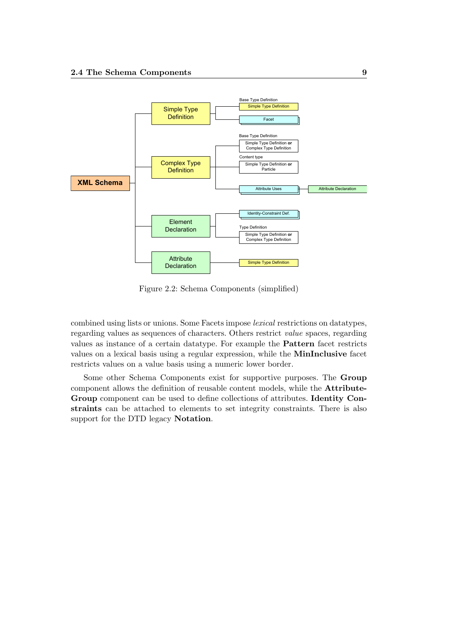

<span id="page-14-0"></span>Figure 2.2: Schema Components (simplified)

combined using lists or unions. Some Facets impose lexical restrictions on datatypes, regarding values as sequences of characters. Others restrict value spaces, regarding values as instance of a certain datatype. For example the Pattern facet restricts values on a lexical basis using a regular expression, while the MinInclusive facet restricts values on a value basis using a numeric lower border.

Some other Schema Components exist for supportive purposes. The Group component allows the definition of reusable content models, while the Attribute-Group component can be used to define collections of attributes. Identity Constraints can be attached to elements to set integrity constraints. There is also support for the DTD legacy Notation.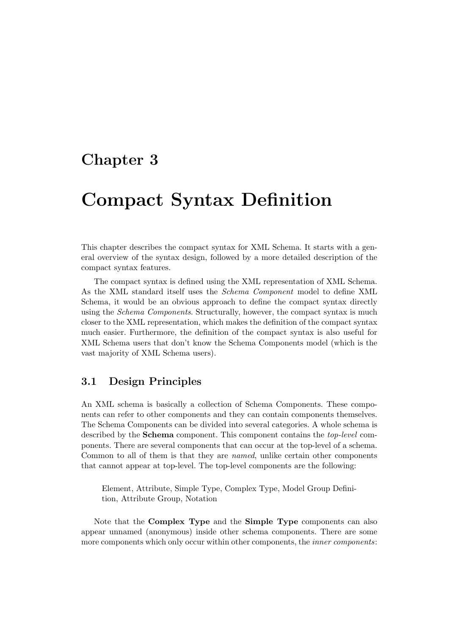## <span id="page-15-0"></span>Chapter 3

## Compact Syntax Definition

This chapter describes the compact syntax for XML Schema. It starts with a general overview of the syntax design, followed by a more detailed description of the compact syntax features.

The compact syntax is defined using the XML representation of XML Schema. As the XML standard itself uses the Schema Component model to define XML Schema, it would be an obvious approach to define the compact syntax directly using the *Schema Components*. Structurally, however, the compact syntax is much closer to the XML representation, which makes the definition of the compact syntax much easier. Furthermore, the definition of the compact syntax is also useful for XML Schema users that don't know the Schema Components model (which is the vast majority of XML Schema users).

## <span id="page-15-1"></span>3.1 Design Principles

An XML schema is basically a collection of Schema Components. These components can refer to other components and they can contain components themselves. The Schema Components can be divided into several categories. A whole schema is described by the Schema component. This component contains the top-level components. There are several components that can occur at the top-level of a schema. Common to all of them is that they are named, unlike certain other components that cannot appear at top-level. The top-level components are the following:

Element, Attribute, Simple Type, Complex Type, Model Group Definition, Attribute Group, Notation

Note that the Complex Type and the Simple Type components can also appear unnamed (anonymous) inside other schema components. There are some more components which only occur within other components, the inner components: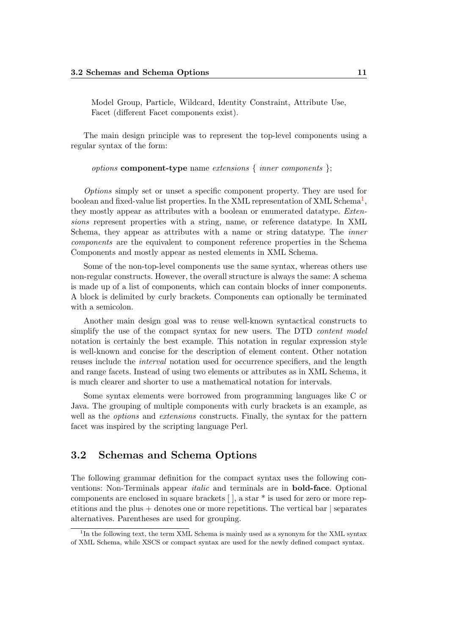Model Group, Particle, Wildcard, Identity Constraint, Attribute Use, Facet (different Facet components exist).

The main design principle was to represent the top-level components using a regular syntax of the form:

#### options component-type name extensions { inner components };

Options simply set or unset a specific component property. They are used for boolean and fixed-value list properties. In the XML representation of XML Schema<sup>[1](#page-16-1)</sup>, they mostly appear as attributes with a boolean or enumerated datatype. Extensions represent properties with a string, name, or reference datatype. In XML Schema, they appear as attributes with a name or string datatype. The inner components are the equivalent to component reference properties in the Schema Components and mostly appear as nested elements in XML Schema.

Some of the non-top-level components use the same syntax, whereas others use non-regular constructs. However, the overall structure is always the same: A schema is made up of a list of components, which can contain blocks of inner components. A block is delimited by curly brackets. Components can optionally be terminated with a semicolon.

Another main design goal was to reuse well-known syntactical constructs to simplify the use of the compact syntax for new users. The DTD *content model* notation is certainly the best example. This notation in regular expression style is well-known and concise for the description of element content. Other notation reuses include the interval notation used for occurrence specifiers, and the length and range facets. Instead of using two elements or attributes as in XML Schema, it is much clearer and shorter to use a mathematical notation for intervals.

Some syntax elements were borrowed from programming languages like C or Java. The grouping of multiple components with curly brackets is an example, as well as the *options* and *extensions* constructs. Finally, the syntax for the pattern facet was inspired by the scripting language Perl.

### <span id="page-16-0"></span>3.2 Schemas and Schema Options

The following grammar definition for the compact syntax uses the following conventions: Non-Terminals appear italic and terminals are in bold-face. Optional components are enclosed in square brackets [ ], a star \* is used for zero or more repetitions and the plus + denotes one or more repetitions. The vertical bar | separates alternatives. Parentheses are used for grouping.

<span id="page-16-1"></span><sup>&</sup>lt;sup>1</sup>In the following text, the term XML Schema is mainly used as a synonym for the XML syntax of XML Schema, while XSCS or compact syntax are used for the newly defined compact syntax.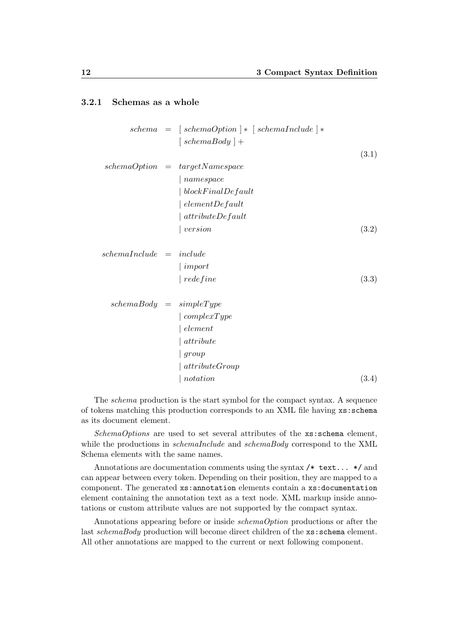#### <span id="page-17-0"></span>3.2.1 Schemas as a whole

|                                            | $schema = [schemaOption] * [schemaIndude] *$       |       |
|--------------------------------------------|----------------------------------------------------|-------|
|                                            | $\int \operatorname{cchem}(\operatorname{Body}) +$ |       |
|                                            |                                                    | (3.1) |
|                                            | $schemaOption = targetName space$                  |       |
|                                            | namespace                                          |       |
|                                            | blockFinalDefault                                  |       |
|                                            | $\cdot$ element De fault                           |       |
|                                            | attribute                                          |       |
|                                            | version                                            | (3.2) |
| $\emph{schemal}$ $nclude = \emph{include}$ |                                                    |       |
|                                            | $\mid import$                                      |       |
|                                            | redefine                                           | (3.3) |
| $schemaBody = simpleType$                  |                                                    |       |
|                                            | $\vert \textit{complexType}$                       |       |
|                                            | element                                            |       |
|                                            | attribute                                          |       |
|                                            | group                                              |       |
|                                            | attributeGroup                                     |       |
|                                            | notation                                           | (3.4) |
|                                            |                                                    |       |

The schema production is the start symbol for the compact syntax. A sequence of tokens matching this production corresponds to an XML file having xs:schema as its document element.

 $SchemaOptions$  are used to set several attributes of the  $xs:$  schema element, while the productions in *schemaInclude* and *schemaBody* correspond to the XML Schema elements with the same names.

Annotations are documentation comments using the syntax  $/*$  text...  $*/$  and can appear between every token. Depending on their position, they are mapped to a component. The generated xs:annotation elements contain a xs:documentation element containing the annotation text as a text node. XML markup inside annotations or custom attribute values are not supported by the compact syntax.

Annotations appearing before or inside schemaOption productions or after the last schemaBody production will become direct children of the xs:schema element. All other annotations are mapped to the current or next following component.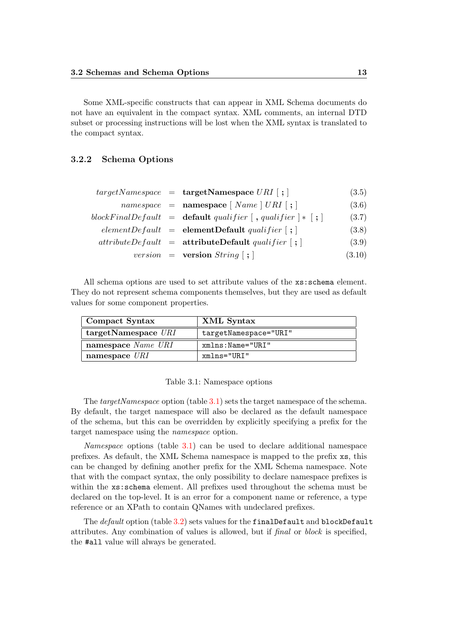Some XML-specific constructs that can appear in XML Schema documents do not have an equivalent in the compact syntax. XML comments, an internal DTD subset or processing instructions will be lost when the XML syntax is translated to the compact syntax.

#### <span id="page-18-0"></span>3.2.2 Schema Options

|  | $targetNamespace = targetNamespace \cup RR$ ;                                      | (3.5)  |
|--|------------------------------------------------------------------------------------|--------|
|  | $namespace = \textbf{namespace} \mid Name \mid URL \mid ; \mid$                    | (3.6)  |
|  | blockFinalDefault = <b>default</b> qualifier $\vert$ , qualifier $\vert * \vert$ ; | (3.7)  |
|  | $elementDefault = elementDefault\ quality[i]$                                      | (3.8)  |
|  | $attributeDefault = attributeDefault \quad \{$ ;                                   | (3.9)  |
|  | <i>version</i> = <b>version</b> $String$ [; ]                                      | (3.10) |

All schema options are used to set attribute values of the xs:schema element. They do not represent schema components themselves, but they are used as default values for some component properties.

| Compact Syntax           | XML Syntax            |
|--------------------------|-----------------------|
| $target$ Namespace $URI$ | targetNamespace="URI" |
| namespace Name URI       | xmlns: Name="URI"     |
| namespace $\mathit{URI}$ | $xmlns="URL"$         |

<span id="page-18-1"></span>Table 3.1: Namespace options

The *targetNamespace* option (table [3.1\)](#page-18-1) sets the target namespace of the schema. By default, the target namespace will also be declared as the default namespace of the schema, but this can be overridden by explicitly specifying a prefix for the target namespace using the namespace option.

Namespace options (table [3.1\)](#page-18-1) can be used to declare additional namespace prefixes. As default, the XML Schema namespace is mapped to the prefix xs, this can be changed by defining another prefix for the XML Schema namespace. Note that with the compact syntax, the only possibility to declare namespace prefixes is within the xs:schema element. All prefixes used throughout the schema must be declared on the top-level. It is an error for a component name or reference, a type reference or an XPath to contain QNames with undeclared prefixes.

The *default* option (table [3.2\)](#page-19-1) sets values for the finalDefault and blockDefault attributes. Any combination of values is allowed, but if final or block is specified, the #all value will always be generated.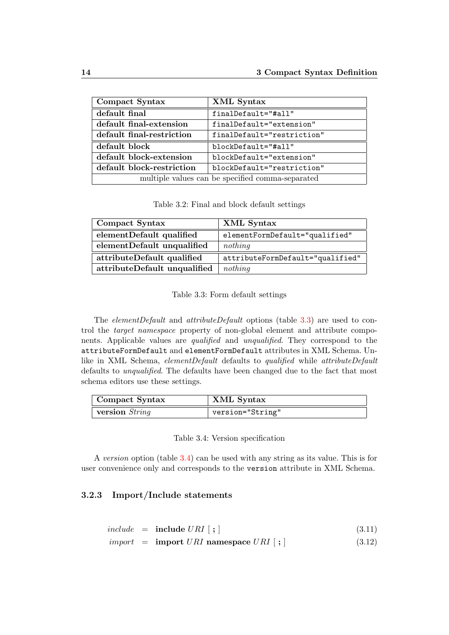| Compact Syntax                                   | XML Syntax                 |  |
|--------------------------------------------------|----------------------------|--|
| default final                                    | finalDefault="#all"        |  |
| default final-extension                          | finalDefault="extension"   |  |
| default final-restriction                        | finalDefault="restriction" |  |
| default block                                    | blockDefault="#all"        |  |
| default block-extension                          | blockDefault="extension"   |  |
| default block-restriction                        | blockDefault="restriction" |  |
| multiple values can be specified comma-separated |                            |  |

<span id="page-19-1"></span>Table 3.2: Final and block default settings

| Compact Syntax               | XML Syntax                       |
|------------------------------|----------------------------------|
| elementDefault qualified     | elementFormDefault="qualified"   |
| elementDefault unqualified   | nothing                          |
| attributeDefault qualified   | attributeFormDefault="qualified" |
| attributeDefault unqualified | nothing                          |

<span id="page-19-2"></span>Table 3.3: Form default settings

The *elementDefault* and *attributeDefault* options (table [3.3\)](#page-19-2) are used to control the target namespace property of non-global element and attribute components. Applicable values are qualified and unqualified. They correspond to the attributeFormDefault and elementFormDefault attributes in XML Schema. Unlike in XML Schema, elementDefault defaults to qualified while attributeDefault defaults to unqualified. The defaults have been changed due to the fact that most schema editors use these settings.

| Compact Syntax | XML Syntax       |
|----------------|------------------|
| version String | version="String" |

<span id="page-19-3"></span>Table 3.4: Version specification

A version option (table [3.4\)](#page-19-3) can be used with any string as its value. This is for user convenience only and corresponds to the version attribute in XML Schema.

#### <span id="page-19-0"></span>3.2.3 Import/Include statements

|  | $include \quad = \quad \textbf{include} \ \ URI \ [ \; ; \; ]$ | (3.11) |
|--|----------------------------------------------------------------|--------|
|  | $import = import \text{ } URI$ namespace $URI$ ;               | (3.12) |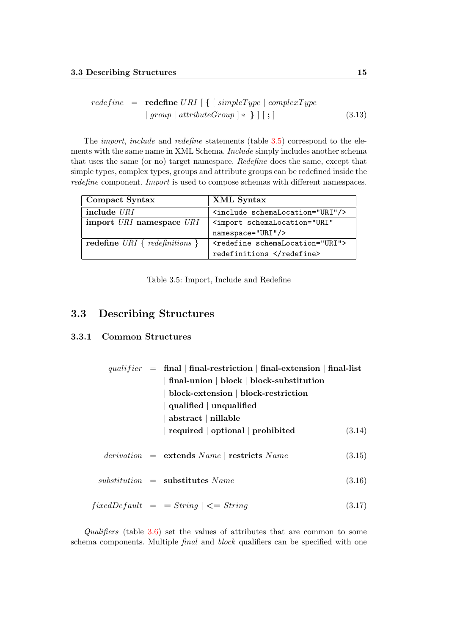$$
redefine = \nrefine = \nref{eq:redefine} \nURI \n\left[ \n\left\{ \n\left[ \n\begin{array}{c} \n\text{simpleType} \mid \text{complexType} \\
\text{group} \mid \text{attributeGroup} \n\end{array} \n\right\} \n\right] \n\left[ \n\begin{array}{c} \n\text{simpleType} \n\end{array} \n\right] \n\tag{3.13}
$$

The *import*, *include* and *redefine* statements (table [3.5\)](#page-20-2) correspond to the elements with the same name in XML Schema. Include simply includes another schema that uses the same (or no) target namespace. Redefine does the same, except that simple types, complex types, groups and attribute groups can be redefined inside the redefine component. *Import* is used to compose schemas with different namespaces.

| Compact Syntax                   | XML Syntax                                        |
|----------------------------------|---------------------------------------------------|
| include URI                      | <include schemalocation="URI"></include>          |
| import URI namespace URI         | <import <="" schemalocation="URI" th=""></import> |
|                                  | namespace="URI"/>                                 |
| redefine URI { $redefinitions$ } | <redefine schemalocation="URI"></redefine>        |
|                                  | redefinitions                                     |

<span id="page-20-2"></span>Table 3.5: Import, Include and Redefine

## <span id="page-20-0"></span>3.3 Describing Structures

#### <span id="page-20-1"></span>3.3.1 Common Structures

|  | qualifier = final   final-restriction   final-extension   final-list |        |
|--|----------------------------------------------------------------------|--------|
|  | final-union   block   block-substitution                             |        |
|  | block-extension   block-restriction                                  |        |
|  | $\mid$ qualified $\mid$ unqualified                                  |        |
|  | $abstruct  $ nillable                                                |        |
|  | required   optional   prohibited                                     | (3.14) |
|  | $derivation = extends Name   restricts Name$                         | (3.15) |
|  | $substitution =$ substitutes Name                                    | (3.16) |
|  | $fixedDefault = String \mid \leq = String$                           | (3.17) |

Qualifiers (table  $3.6$ ) set the values of attributes that are common to some schema components. Multiple *final* and *block* qualifiers can be specified with one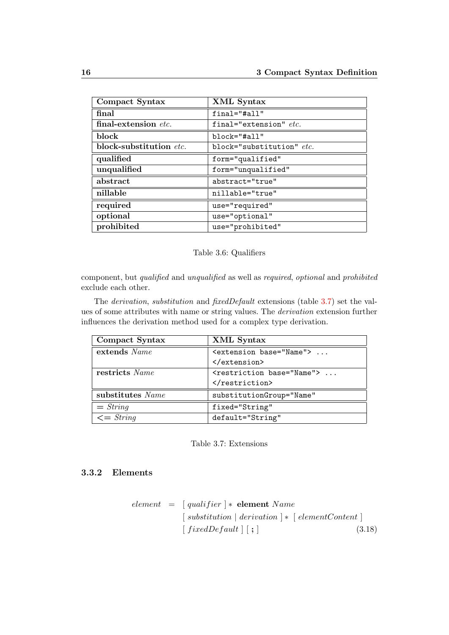| Compact Syntax          | <b>XML</b> Syntax         |
|-------------------------|---------------------------|
| final                   | $final="fall"$            |
| final-extension etc.    | final="extension" $etc.$  |
| block                   | $block='Hail'$            |
| block-substitution etc. | block="substitution" etc. |
| qualified               | form="qualified"          |
| unqualified             | form="unqualified"        |
| abstract                | abstract="true"           |
| nillable                | nillable="true"           |
| required                | use="required"            |
| optional                | use="optional"            |
| prohibited              | use="prohibited"          |

#### <span id="page-21-1"></span>Table 3.6: Qualifiers

component, but qualified and unqualified as well as required, optional and prohibited exclude each other.

The derivation, substitution and fixedDefault extensions (table [3.7\)](#page-21-2) set the values of some attributes with name or string values. The derivation extension further influences the derivation method used for a complex type derivation.

| Compact Syntax   | XML Syntax                               |
|------------------|------------------------------------------|
| extends Name     | <extension base="Name"> </extension>     |
|                  |                                          |
| restricts Name   | <restriction base="Name"> </restriction> |
|                  |                                          |
| substitutes Name | substitutionGroup="Name"                 |
| $= String$       | fixed="String"                           |
| $\leq$ String    | default="String"                         |

#### <span id="page-21-2"></span>Table 3.7: Extensions

#### <span id="page-21-0"></span>3.3.2 Elements

|  | element = $\int$ qualifier $\vert * \vert$ element Name                             |        |
|--|-------------------------------------------------------------------------------------|--------|
|  | $\lceil$ substitution $\lceil$ derivation $\rceil * \lceil$ elementContent $\rceil$ |        |
|  | $\lceil$ fixedDefault $\rceil$ $\lceil$ ; $\rceil$                                  | (3.18) |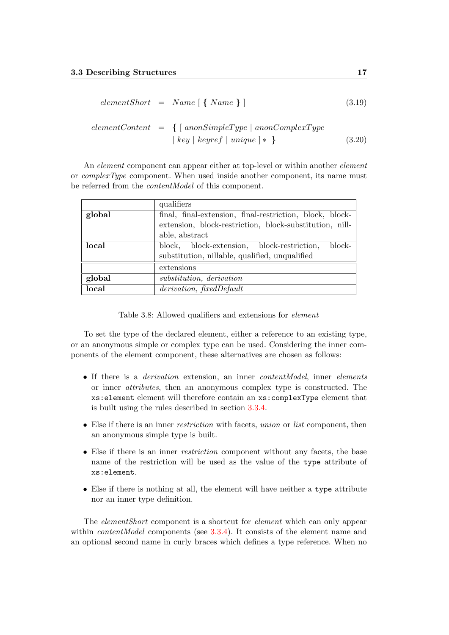$$
elementShort = Name \{ \, Name \, \} \, ] \tag{3.19}
$$

$$
elementContent = \{ [anonSimpleType | a nonComplexType
$$
  
 
$$
| key | keyref | unique | * \}
$$
 (3.20)

An *element* component can appear either at top-level or within another *element* or *complexType* component. When used inside another component, its name must be referred from the contentModel of this component.

|        | qualifiers                                               |  |  |
|--------|----------------------------------------------------------|--|--|
| global | final, final-extension, final-restriction, block, block- |  |  |
|        | extension, block-restriction, block-substitution, nill-  |  |  |
|        | able, abstract                                           |  |  |
| local  | block, block-extension, block-restriction,<br>block-     |  |  |
|        | substitution, nillable, qualified, unqualified           |  |  |
|        | extensions                                               |  |  |
| global | substitution, derivation                                 |  |  |
| local  | derivation, fixedDefault                                 |  |  |

<span id="page-22-0"></span>Table 3.8: Allowed qualifiers and extensions for element

To set the type of the declared element, either a reference to an existing type, or an anonymous simple or complex type can be used. Considering the inner components of the element component, these alternatives are chosen as follows:

- If there is a *derivation* extension, an inner *contentModel*, inner *elements* or inner attributes, then an anonymous complex type is constructed. The xs:element element will therefore contain an xs:complexType element that is built using the rules described in section [3.3.4.](#page-24-0)
- Else if there is an inner restriction with facets, union or list component, then an anonymous simple type is built.
- Else if there is an inner restriction component without any facets, the base name of the restriction will be used as the value of the type attribute of xs:element.
- Else if there is nothing at all, the element will have neither a type attribute nor an inner type definition.

The elementShort component is a shortcut for element which can only appear within *contentModel* components (see [3.3.4\)](#page-24-0). It consists of the element name and an optional second name in curly braces which defines a type reference. When no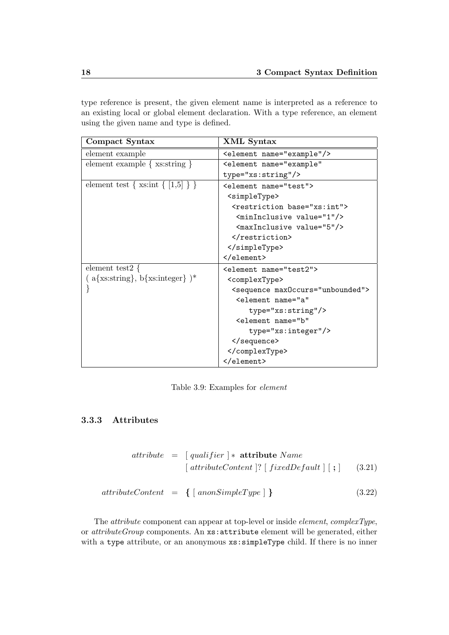type reference is present, the given element name is interpreted as a reference to an existing local or global element declaration. With a type reference, an element using the given name and type is defined.

| Compact Syntax                        | XML Syntax                                    |
|---------------------------------------|-----------------------------------------------|
| element example                       | <element name="example"></element>            |
| element example $\{xs:string\}$       | <element <="" name="example" td=""></element> |
|                                       | type="xs:string"/>                            |
| element test { $xs:int \{ [1,5] \}$ } | <element name="test"></element>               |
|                                       | <simpletype></simpletype>                     |
|                                       | <restriction base="xs:int"></restriction>     |
|                                       | <mininclusive value="1"></mininclusive>       |
|                                       | <maxinclusive value="5"></maxinclusive>       |
|                                       |                                               |
|                                       |                                               |
|                                       |                                               |
| element test2 $\{$                    | <element name="test2"></element>              |
| $(a\{xs:string\}, b\{xs:integer\})^*$ | <complextype></complextype>                   |
|                                       | <sequence max0ccurs="unbounded"></sequence>   |
|                                       | <element <="" name="a" td=""></element>       |
|                                       | type="xs:string"/>                            |
|                                       | <element <="" name="b" td=""></element>       |
|                                       | type="xs:integer"/>                           |
|                                       |                                               |
|                                       |                                               |
|                                       |                                               |

<span id="page-23-1"></span>Table 3.9: Examples for element

### <span id="page-23-0"></span>3.3.3 Attributes

$$
attribute = [qualifier] * attribute Name
$$
  

$$
[attributeContent] ? [fixedDefault] [ ; ]
$$
 (3.21)

$$
attributeContent = \{ [ \;anonSimpleType ] \; \} \tag{3.22}
$$

The attribute component can appear at top-level or inside element, complexType, or attributeGroup components. An xs:attribute element will be generated, either with a type attribute, or an anonymous  $xs:simpleType$  child. If there is no inner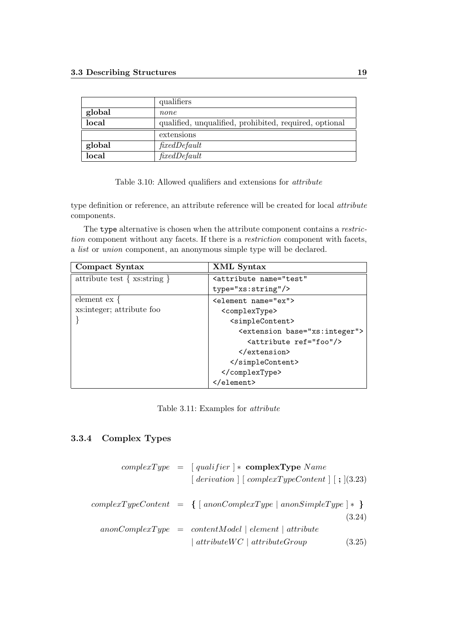|        | qualifiers                                             |
|--------|--------------------------------------------------------|
| global | none                                                   |
| local  | qualified, unqualified, prohibited, required, optional |
|        | extensions                                             |
| global | fixedDefault                                           |
| local  | fixedDefault                                           |

<span id="page-24-1"></span>Table 3.10: Allowed qualifiers and extensions for attribute

type definition or reference, an attribute reference will be created for local attribute components.

The type alternative is chosen when the attribute component contains a restriction component without any facets. If there is a *restriction* component with facets, a list or union component, an anonymous simple type will be declared.

| Compact Syntax                 | XML Syntax                                     |
|--------------------------------|------------------------------------------------|
| attribute test $\{xs:string\}$ | <attribute <="" name="test" td=""></attribute> |
|                                | type="xs:string"/>                             |
| element $ex \{$                | <element name="ex"></element>                  |
| xs: integer; attribute foo     | <complextype></complextype>                    |
|                                | <simplecontent></simplecontent>                |
|                                | <extension base="xs:integer"></extension>      |
|                                | <attribute ref="foo"></attribute>              |
|                                | $\langle$ /extension>                          |
|                                |                                                |
|                                |                                                |
|                                |                                                |

<span id="page-24-2"></span>Table 3.11: Examples for attribute

#### <span id="page-24-0"></span>3.3.4 Complex Types

|  | $complexType = [qualifier] * complexType Name$<br>$\lceil$ derivation $\lceil$ complexTypeContent $\lceil$ ; $\lceil$ (3.23) |                  |
|--|------------------------------------------------------------------------------------------------------------------------------|------------------|
|  | $complexTypeContent = \{ [anonComplexType \mid anonSimpleType] * \}$                                                         |                  |
|  | $anonComplexType = contentModel   element   attribute$<br>$\alpha$ attribute $WC \mid attributeGroup$                        | (3.24)<br>(3.25) |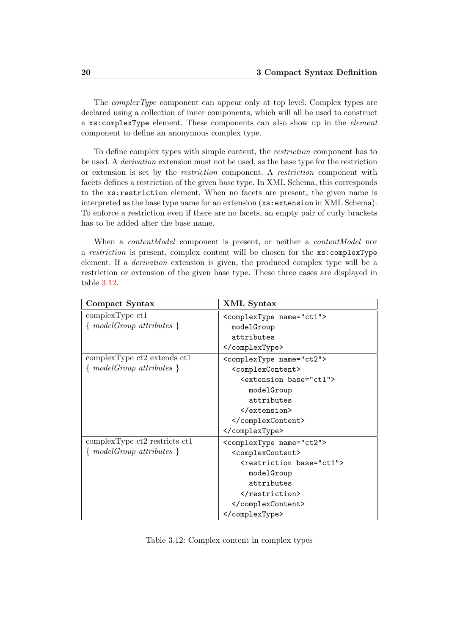The complexType component can appear only at top level. Complex types are declared using a collection of inner components, which will all be used to construct a xs:complexType element. These components can also show up in the element component to define an anonymous complex type.

To define complex types with simple content, the restriction component has to be used. A derivation extension must not be used, as the base type for the restriction or extension is set by the restriction component. A restriction component with facets defines a restriction of the given base type. In XML Schema, this corresponds to the xs:restriction element. When no facets are present, the given name is interpreted as the base type name for an extension (xs:extension in XML Schema). To enforce a restriction even if there are no facets, an empty pair of curly brackets has to be added after the base name.

When a *contentModel* component is present, or neither a *contentModel* nor a restriction is present, complex content will be chosen for the xs:complexType element. If a derivation extension is given, the produced complex type will be a restriction or extension of the given base type. These three cases are displayed in table [3.12.](#page-25-0)

| Compact Syntax                 | XML Syntax                             |
|--------------------------------|----------------------------------------|
| complexType <sub>ct1</sub>     | <complextype name="ct1"></complextype> |
| $\{modelGroup \ attributes \}$ | modelGroup                             |
|                                | attributes                             |
|                                |                                        |
| complexType ct2 extends ct1    | <complextype name="ct2"></complextype> |
| $\{modelGroup \ attributes \}$ | <complexcontent></complexcontent>      |
|                                | <extension base="ct1"></extension>     |
|                                | modelGroup                             |
|                                | attributes                             |
|                                |                                        |
|                                |                                        |
|                                |                                        |
| complexType ct2 restricts ct1  | <complextype name="ct2"></complextype> |
| $\{modelGroup \ attributes \}$ | <complexcontent></complexcontent>      |
|                                | <restriction base="ct1"></restriction> |
|                                | modelGroup                             |
|                                | attributes                             |
|                                |                                        |
|                                |                                        |
|                                |                                        |

<span id="page-25-0"></span>Table 3.12: Complex content in complex types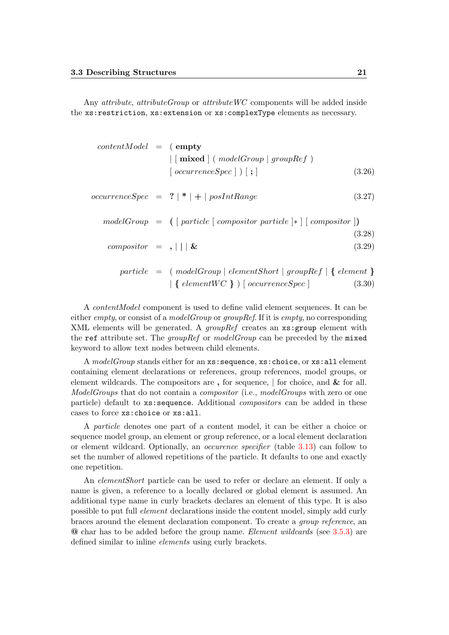Any attribute, attributeGroup or attributeWC components will be added inside the xs:restriction, xs:extension or xs:complexType elements as necessary.

| $contentModel = (empty$ |                                                                                  |        |
|-------------------------|----------------------------------------------------------------------------------|--------|
|                         | $\vert$ [mixed ] (modelGroup   groupRef)                                         |        |
|                         | $\lceil \text{occurrenceSpec} \rceil \rceil$ ;                                   | (3.26) |
|                         | $occurrenceSpec = ? \mid * \mid + \mid posIntRange$                              | (3.27) |
|                         | $modelGroup = ( [particle [composition particle] * [ (composition ] )$           |        |
|                         |                                                                                  | (3.28) |
| $composition = ,    \&$ |                                                                                  | (3.29) |
|                         | $particle = (modelGroup   elementShort   groupRef   { element } )$               |        |
|                         | $\left( \left\{ elementWC \right\} \right) \left[ occurrenceSpec \right]$ (3.30) |        |

A contentModel component is used to define valid element sequences. It can be either *empty*, or consist of a *modelGroup* or *groupRef*. If it is *empty*, no corresponding XML elements will be generated. A *groupRef* creates an  $xs:$  group element with the ref attribute set. The *groupRef* or *modelGroup* can be preceded by the mixed keyword to allow text nodes between child elements.

A modelGroup stands either for an xs: sequence, xs: choice, or xs: all element containing element declarations or references, group references, model groups, or element wildcards. The compositors are, for sequence,  $\vert$  for choice, and  $\&$  for all. ModelGroups that do not contain a *compositor* (i.e., modelGroups with zero or one particle) default to xs:sequence. Additional compositors can be added in these cases to force xs:choice or xs:all.

A particle denotes one part of a content model, it can be either a choice or sequence model group, an element or group reference, or a local element declaration or element wildcard. Optionally, an occurence specifier (table [3.13\)](#page-27-2) can follow to set the number of allowed repetitions of the particle. It defaults to one and exactly one repetition.

An elementShort particle can be used to refer or declare an element. If only a name is given, a reference to a locally declared or global element is assumed. An additional type name in curly brackets declares an element of this type. It is also possible to put full element declarations inside the content model, simply add curly braces around the element declaration component. To create a group reference, an @ char has to be added before the group name. Element wildcards (see [3.5.3\)](#page-32-0) are defined similar to inline elements using curly brackets.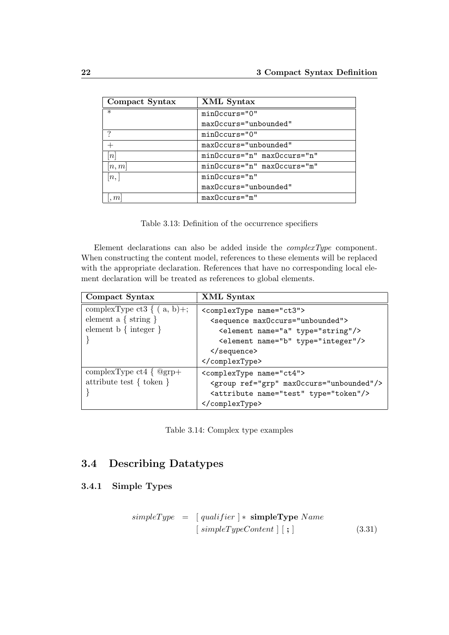| Compact Syntax | XML Syntax                  |
|----------------|-----------------------------|
| $\ast$         | minOccurs="0"               |
|                | maxOccurs="unbounded"       |
|                | $minOccurs = "0"$           |
|                | maxOccurs="unbounded"       |
| n              | minOccurs="n" maxOccurs="n" |
| n,m            | minOccurs="n" maxOccurs="m" |
| [n,            | $minOccurs="n"$             |
|                | maxOccurs="unbounded"       |
| m              | $maxOccurs="m"$             |

<span id="page-27-2"></span>Table 3.13: Definition of the occurrence specifiers

Element declarations can also be added inside the complexType component. When constructing the content model, references to these elements will be replaced with the appropriate declaration. References that have no corresponding local element declaration will be treated as references to global elements.

| Compact Syntax                    | XML Syntax                                       |
|-----------------------------------|--------------------------------------------------|
| complexType ct3 $\{ (a, b) +;$    | <complextype name="ct3"></complextype>           |
| element a $\{ \text{ string } \}$ | <sequence max0ccurs="unbounded"></sequence>      |
| element $b \{ integer \}$         | <element name="a" type="string"></element>       |
|                                   | <element name="b" type="integer"></element>      |
|                                   |                                                  |
|                                   |                                                  |
| complexType ct4 $\{$ @grp+        | <complextype name="ct4"></complextype>           |
| attribute test $\{$ token $\}$    | <group maxoccurs="unbounded" ref="grp"></group>  |
|                                   | <attribute name="test" type="token"></attribute> |
|                                   |                                                  |

<span id="page-27-3"></span>

## <span id="page-27-0"></span>3.4 Describing Datatypes

### <span id="page-27-1"></span>3.4.1 Simple Types

$$
simpleType = [qualifier] * simpleType Name
$$
  
[
$$
simpleTypeContent \ ] \ [ \ ; ]
$$
 (3.31)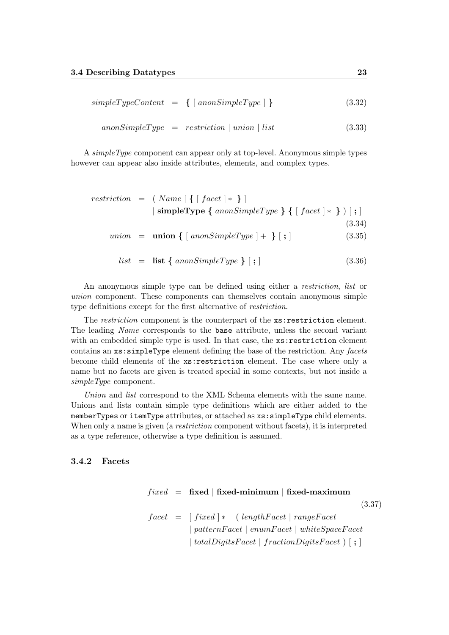$$
simpleTypeContent = \{ [ \;anonSimpleType ] \; \} \tag{3.32}
$$

$$
an on SimpleType = restriction \mid union \mid list
$$
\n(3.33)

A simpleType component can appear only at top-level. Anonymous simple types however can appear also inside attributes, elements, and complex types.

$$
restriction = (Name [ \{ [ facet ] * \} ]
$$
  
 
$$
| simpleType { anon SimpleType } \{ [ face t ] * \} ] \{ [ face t ] * \} ) [ ; ]
$$
  
 
$$
union = union { [ anonSimpleType ] + } [ ; ]
$$
  
(3.34)

$$
list = list { \n anonSimpleType } [ ; ] \n (3.36)
$$

An anonymous simple type can be defined using either a restriction, list or union component. These components can themselves contain anonymous simple type definitions except for the first alternative of restriction.

The *restriction* component is the counterpart of the  $xs:restriction$ The leading Name corresponds to the base attribute, unless the second variant with an embedded simple type is used. In that case, the  $xs:restriction$ contains an  $xs:$  simpleType element defining the base of the restriction. Any facets become child elements of the xs:restriction element. The case where only a name but no facets are given is treated special in some contexts, but not inside a simpleType component.

Union and list correspond to the XML Schema elements with the same name. Unions and lists contain simple type definitions which are either added to the memberTypes or itemType attributes, or attached as xs:simpleType child elements. When only a name is given (a *restriction* component without facets), it is interpreted as a type reference, otherwise a type definition is assumed.

#### <span id="page-28-0"></span>3.4.2 Facets

|  | $fixed$ = fixed   fixed-minimum   fixed-maximum                |        |
|--|----------------------------------------------------------------|--------|
|  |                                                                | (3.37) |
|  | $facet = [fixed] * (lengthFace   rangeFace$                    |        |
|  | $\mid patternFacet \mid enumFacet \mid whiteSpaceFacet$        |        |
|  | $\mid totalDigitsFace \mid fractionDigitsFace \mid \cdot \mid$ |        |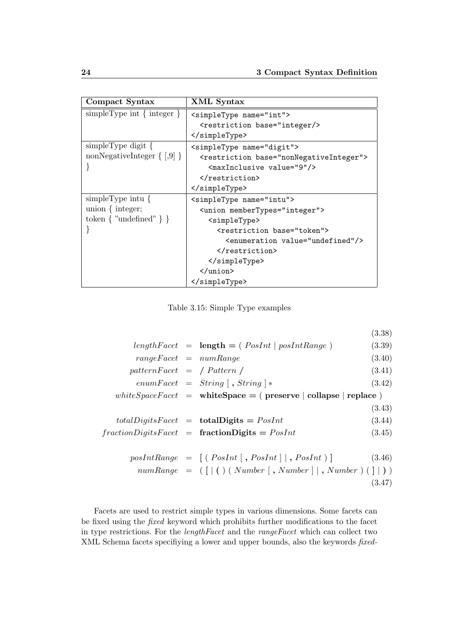| Compact Syntax                   | XML Syntax                                                                                                                                                                                                                                                               |
|----------------------------------|--------------------------------------------------------------------------------------------------------------------------------------------------------------------------------------------------------------------------------------------------------------------------|
| $simpleType int \{ integer \}$   | <simpletype name="int"></simpletype>                                                                                                                                                                                                                                     |
|                                  | <restriction base="integer/&gt;&lt;/th&gt;&lt;/tr&gt;&lt;tr&gt;&lt;th&gt;&lt;/th&gt;&lt;th&gt;&lt;/simpleType&gt;&lt;/th&gt;&lt;/tr&gt;&lt;tr&gt;&lt;th&gt;&lt;math&gt;simpleType digit\&lt;/math&gt;&lt;/th&gt;&lt;th&gt;&lt;simpleType name=" digit"=""></restriction> |
| nonNegativeInteger $\{ [0,9] \}$ | <restriction base="nonNegativeInteger"></restriction>                                                                                                                                                                                                                    |
|                                  | <maxinclusive value="9"></maxinclusive>                                                                                                                                                                                                                                  |
|                                  |                                                                                                                                                                                                                                                                          |
|                                  |                                                                                                                                                                                                                                                                          |
| simpleType intu $\{$             | <simpletype name="intu"></simpletype>                                                                                                                                                                                                                                    |
| union $\{$ integer;              | <union membertypes="integer"></union>                                                                                                                                                                                                                                    |
| token $\{$ "undefined" $\}$ }    | <simpletype></simpletype>                                                                                                                                                                                                                                                |
| ł                                | <restriction base="token"></restriction>                                                                                                                                                                                                                                 |
|                                  | <enumeration value="undefined"></enumeration>                                                                                                                                                                                                                            |
|                                  |                                                                                                                                                                                                                                                                          |
|                                  |                                                                                                                                                                                                                                                                          |
|                                  | $\frac{1}{\sin 1}$                                                                                                                                                                                                                                                       |
|                                  |                                                                                                                                                                                                                                                                          |

<span id="page-29-0"></span>Table 3.15: Simple Type examples

|                             |                                                                 | (3.38) |
|-----------------------------|-----------------------------------------------------------------|--------|
|                             | $lengthFace t = length = (PosInt   posIntRange)$                | (3.39) |
| $rangeFace t = numRange$    |                                                                 | (3.40) |
| $patternFacet = /Pattern /$ |                                                                 | (3.41) |
|                             | $enumFacet = String [$ , $String$ $]*$                          | (3.42) |
|                             | whiteSpaceFacet = whiteSpace = (preserve   collapse   replace ) |        |
|                             |                                                                 | (3.43) |
|                             | $totalDigitsFace_t = totalDigits = PosInt$                      | (3.44) |
|                             | $fraction DigitsFace \text{t} = fraction Digits = PosInt$       | (3.45) |
|                             |                                                                 |        |
|                             | $posIntRange = [(PosInt[, PosInt], PosInt]$                     | (3.46) |
|                             | $numRange = ([]() (Number[, Number], Number) ([]))$             |        |
|                             |                                                                 | (3.47) |

Facets are used to restrict simple types in various dimensions. Some facets can be fixed using the fixed keyword which prohibits further modifications to the facet in type restrictions. For the lengthFacet and the rangeFacet which can collect two XML Schema facets specifiying a lower and upper bounds, also the keywords fixed-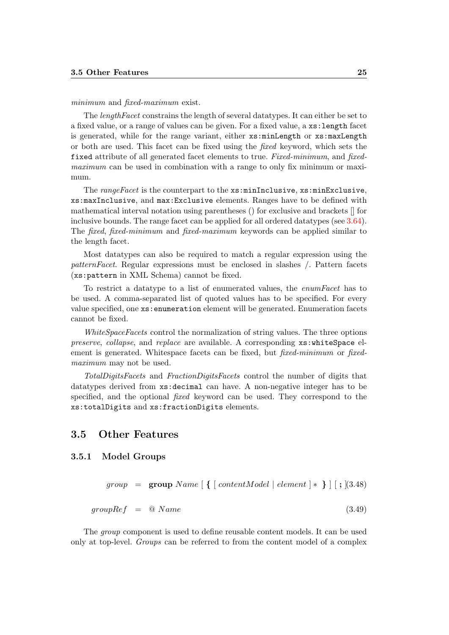#### minimum and *fixed-maximum* exist.

The *lengthFacet* constrains the length of several datatypes. It can either be set to a fixed value, or a range of values can be given. For a fixed value, a xs:length facet is generated, while for the range variant, either xs:minLength or xs:maxLength or both are used. This facet can be fixed using the fixed keyword, which sets the fixed attribute of all generated facet elements to true. Fixed-minimum, and fixedmaximum can be used in combination with a range to only fix minimum or maximum.

The rangeFacet is the counterpart to the  $xs:minInclusive, xs:minExclusive,$ xs:maxInclusive, and max:Exclusive elements. Ranges have to be defined with mathematical interval notation using parentheses () for exclusive and brackets [] for inclusive bounds. The range facet can be applied for all ordered datatypes (see [3.64\)](#page-35-1). The fixed, fixed-minimum and fixed-maximum keywords can be applied similar to the length facet.

Most datatypes can also be required to match a regular expression using the patternFacet. Regular expressions must be enclosed in slashes /. Pattern facets (xs:pattern in XML Schema) cannot be fixed.

To restrict a datatype to a list of enumerated values, the enumFacet has to be used. A comma-separated list of quoted values has to be specified. For every value specified, one xs:enumeration element will be generated. Enumeration facets cannot be fixed.

WhiteSpaceFacets control the normalization of string values. The three options preserve, collapse, and replace are available. A corresponding  $xs:whiteSpace$  element is generated. Whitespace facets can be fixed, but *fixed-minimum* or *fixed*maximum may not be used.

TotalDigitsFacets and FractionDigitsFacets control the number of digits that datatypes derived from xs:decimal can have. A non-negative integer has to be specified, and the optional fixed keyword can be used. They correspond to the xs:totalDigits and xs:fractionDigits elements.

#### <span id="page-30-0"></span>3.5 Other Features

#### <span id="page-30-1"></span>3.5.1 Model Groups

 $group = \text{group Name} \mid \{ \text{[contentModel] element} \mid * \} \mid \text{[} \mid \text{3.48})$ 

$$
groupRef = @Name
$$
\n
$$
(3.49)
$$

The group component is used to define reusable content models. It can be used only at top-level. Groups can be referred to from the content model of a complex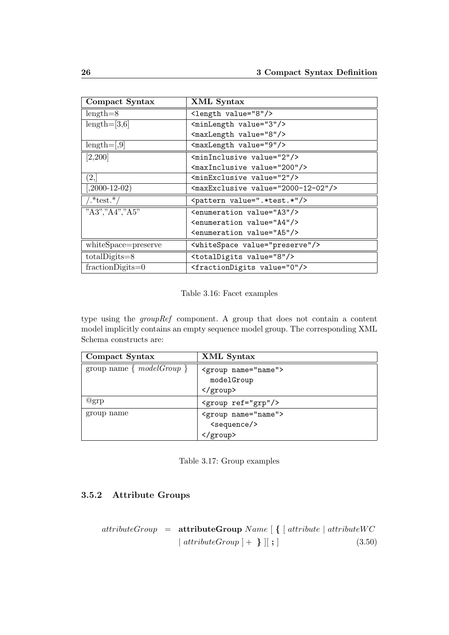| Compact Syntax      | XML Syntax                                       |
|---------------------|--------------------------------------------------|
| $length=8$          | <length value="8"></length>                      |
| $length=[3,6]$      | <minlength value="3"></minlength>                |
|                     | <maxlength value="8"></maxlength>                |
| $length=[,9]$       | <maxlength value="9"></maxlength>                |
| [2,200]             | <mininclusive value="2"></mininclusive>          |
|                     | <maxinclusive value="200"></maxinclusive>        |
| (2,                 | <minexclusive value="2"></minexclusive>          |
| $(2000-12-02)$      | <maxexclusive value="2000-12-02"></maxexclusive> |
| $/.*$ test. $*/$    | <pattern value=".*test.*"></pattern>             |
| "A3", "A4", "A5"    | <enumeration value="A3"></enumeration>           |
|                     | <enumeration value="A4"></enumeration>           |
|                     | <enumeration value="A5"></enumeration>           |
| whiteSpace=preserve | <whitespace value="preserve"></whitespace>       |
| $totalDigits = 8$   | <totaldigits value="8"></totaldigits>            |
| $fraction$ Digits=0 | <fractiondigits value="0"></fractiondigits>      |

<span id="page-31-1"></span>Table 3.16: Facet examples

type using the *groupRef* component. A group that does not contain a content model implicitly contains an empty sequence model group. The corresponding XML Schema constructs are:

| Compact Syntax              | XML Syntax                                 |
|-----------------------------|--------------------------------------------|
| group name $\{modelGroup\}$ | <group name="name"><br/>modelGroup</group> |
|                             |                                            |
| @grp                        | $\langle$ group ref="grp"/>                |
| group name                  | <group name="name"></group>                |
|                             | <sequence></sequence>                      |
|                             |                                            |

<span id="page-31-2"></span>Table 3.17: Group examples

## <span id="page-31-0"></span>3.5.2 Attribute Groups

$$
attributeGroup = attributeGroup Name [\{ [attribute | attributeWC \mid attributeWC \mid attributeGroup] + \}][;]
$$
\n(3.50)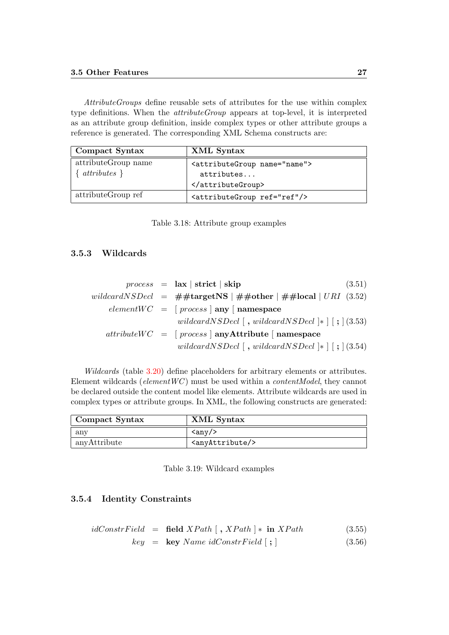#### 3.5 Other Features 27

AttributeGroups define reusable sets of attributes for the use within complex type definitions. When the attributeGroup appears at top-level, it is interpreted as an attribute group definition, inside complex types or other attribute groups a reference is generated. The corresponding XML Schema constructs are:

| Compact Syntax                    | XML Syntax                                                        |
|-----------------------------------|-------------------------------------------------------------------|
| attributeGroup name<br>attributes | <attributegroup name="name"><br/>attributes<br/></attributegroup> |
| attributeGroup ref                | <attributegroup ref="ref"></attributegroup>                       |

<span id="page-32-2"></span>

|  |  | Table 3.18: Attribute group examples |  |  |
|--|--|--------------------------------------|--|--|
|--|--|--------------------------------------|--|--|

#### <span id="page-32-0"></span>3.5.3 Wildcards

|  | $process = \mathbf{ax}   \mathbf{strict}   \mathbf{skip}$<br>(3.51)                     |
|--|-----------------------------------------------------------------------------------------|
|  | wildcardNSDecl = $\#$ #targetNS   $\#$ #other   $\#$ #local   URI (3.52)                |
|  | $elementWC = [process   any   namespace$                                                |
|  | wildcard NSDecl $\lceil$ , wildcard NSDecl $\lceil$ , $\rceil$ (3.53)                   |
|  | $attributeWC = [process   anyAttribute   namespace$                                     |
|  | wildcardNSDecl $\lceil$ , wildcardNSDecl $\lceil$ * $\rceil$ $\lceil$ ; $\rceil$ (3.54) |

Wildcards (table [3.20\)](#page-33-0) define placeholders for arbitrary elements or attributes. Element wildcards ( $elementWC$ ) must be used within a *contentModel*, they cannot be declared outside the content model like elements. Attribute wildcards are used in complex types or attribute groups. In XML, the following constructs are generated:

| Compact Syntax | XML Syntax                   |
|----------------|------------------------------|
| $\rm{any}$     | $\langle \text{any} \rangle$ |
| anyAttribute   | $\langle$ anyAttribute/>     |

<span id="page-32-3"></span>Table 3.19: Wildcard examples

#### <span id="page-32-1"></span>3.5.4 Identity Constraints

$$
idConstructField = field XPath [, XPath] * in XPath \qquad (3.55)
$$

$$
key = \text{key Name } idConstruct[i] \text{ } (3.56)
$$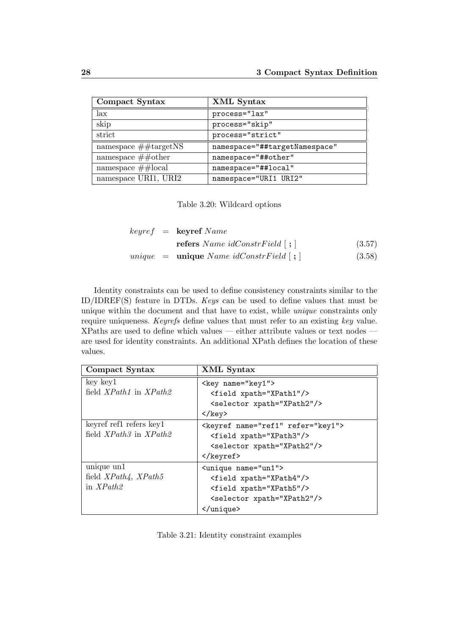| Compact Syntax               | XML Syntax                    |
|------------------------------|-------------------------------|
| lax                          | process="lax"                 |
| skip                         | process="skip"                |
| strict                       | process="strict"              |
| namespace $\# \# targetNS$   | namespace="##targetNamespace" |
| namespace $\#\#$ other       | namespace="##other"           |
| namespace $\#\text{\#local}$ | namespace="##local"           |
| namespace URI1, URI2         | namespace="URI1 URI2"         |

<span id="page-33-0"></span>Table 3.20: Wildcard options

|  | $keyref = \text{keyref } Name$              |        |
|--|---------------------------------------------|--------|
|  | <b>refers</b> Name idConstrField $\lceil$ ; | (3.57) |
|  | $unique = unique Name idConstruct[i];$      | (3.58) |

Identity constraints can be used to define consistency constraints similar to the ID/IDREF(S) feature in DTDs. Keys can be used to define values that must be unique within the document and that have to exist, while unique constraints only require uniqueness. Keyrefs define values that must refer to an existing key value. XPaths are used to define which values — either attribute values or text nodes are used for identity constraints. An additional XPath defines the location of these values.

| Compact Syntax                     | XML Syntax                                 |
|------------------------------------|--------------------------------------------|
| $key$ key $1$                      | <key name="key1"></key>                    |
| field $XPath1$ in $XPath2$         | <field xpath="XPath1"></field>             |
|                                    | <selector xpath="XPath2"></selector>       |
|                                    |                                            |
| keyref ref1 refers key1            | <keyref name="ref1" refer="key1"></keyref> |
| field $XPath3$ in $XPath2$         | <field xpath="XPath3"></field>             |
|                                    | <selector xpath="XPath2"></selector>       |
|                                    |                                            |
| unique $\boldsymbol{\mathrm{unl}}$ | <unique name="un1"></unique>               |
| field $XPath4$ , $XPath5$          | <field xpath="XPath4"></field>             |
| in $XPath2$                        | <field xpath="XPath5"></field>             |
|                                    | <selector xpath="XPath2"></selector>       |
|                                    |                                            |

<span id="page-33-1"></span>Table 3.21: Identity constraint examples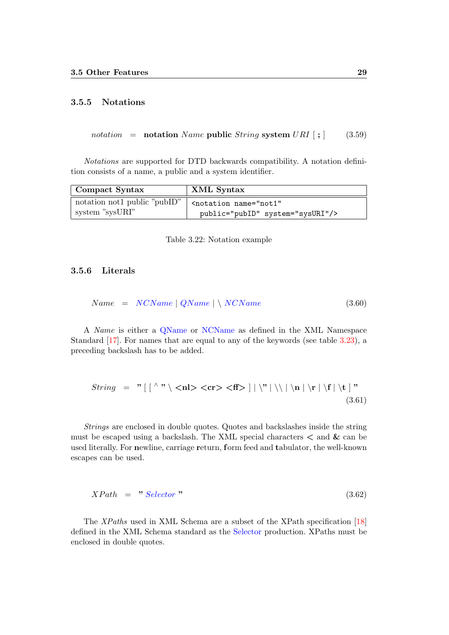#### <span id="page-34-0"></span>3.5.5 Notations

notation = notation Name public String system URI  $\vert$ ;  $\vert$  (3.59)

Notations are supported for DTD backwards compatibility. A notation definition consists of a name, a public and a system identifier.

| Compact Syntax                | XML Syntax                                   |
|-------------------------------|----------------------------------------------|
| notation not1 public "public" | <notation <="" name="not1" th=""></notation> |
| system "sysURI"               | public="pubID" system="sysURI"/>             |

<span id="page-34-2"></span>Table 3.22: Notation example

#### <span id="page-34-1"></span>3.5.6 Literals

$$
Name = NCName \mid QName \mid \setminus NCName \tag{3.60}
$$

A Name is either a [QName](http://www.w3.org/TR/REC-xml-names/#NT-QName) or [NCName](http://www.w3.org/TR/REC-xml-names/#NT-NCName) as defined in the XML Namespace Standard [\[17\]](#page-47-2). For names that are equal to any of the keywords (see table [3.23\)](#page-35-0), a preceding backslash has to be added.

$$
String = "\left[\left.\begin{array}{c} \wedge \text{``} \setminus \text{ch} > < \text{ff} > \end{array}\right] |\left.\begin{array}{c} \wedge \text{``} \setminus \text{h} \setminus \text{h} \setminus \text{h} \setminus \text{f} \setminus \text{f} \end{array}\right] \right]
$$
\n(3.61)

Strings are enclosed in double quotes. Quotes and backslashes inside the string must be escaped using a backslash. The XML special characters  $\lt$  and  $\&$  can be used literally. For newline, carriage return, form feed and tabulator, the well-known escapes can be used.

$$
XPath = "Selector" \t\t(3.62)
$$

The XPaths used in XML Schema are a subset of the XPath specification [\[18\]](#page-47-3) defined in the XML Schema standard as the [Selector](http://www.w3.org/TR/xmlschema-1/#c-selector-xpath) production. XPaths must be enclosed in double quotes.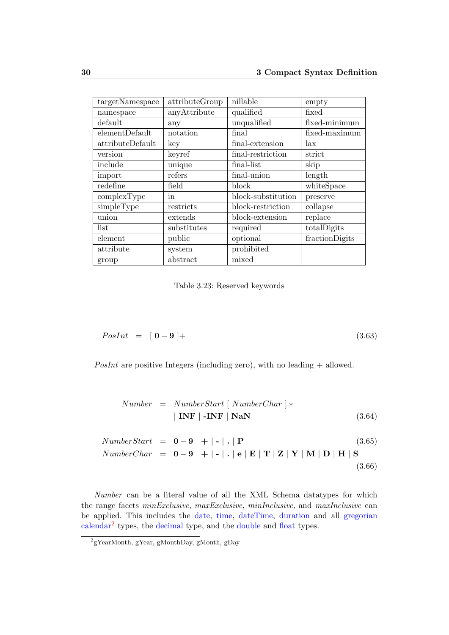| targetNamespace  | attributeGroup | nillable           | empty          |
|------------------|----------------|--------------------|----------------|
| namespace        | anyAttribute   | qualified          | fixed          |
| default          | any            | unqualified        | fixed-minimum  |
| elementDefault   | notation       | final              | fixed-maximum  |
| attributeDefault | key            | final-extension    | lax            |
| version          | keyref         | final-restriction  | strict         |
| include          | unique         | final-list         | skip           |
| import           | refers         | final-union        | length         |
| redefine         | field          | block              | whiteSpace     |
| complexType      | in             | block-substitution | preserve       |
| simpleType       | restricts      | block-restriction  | collapse       |
| union            | extends        | block-extension    | replace        |
| list             | substitutes    | required           | totalDigits    |
| element          | public         | optional           | fractionDigits |
| attribute        | system         | prohibited         |                |
| group            | abstract       | mixed              |                |

<span id="page-35-0"></span>Table 3.23: Reserved keywords

$$
PosInt = [0 - 9] + \tag{3.63}
$$

PosInt are positive Integers (including zero), with no leading  $+$  allowed.

<span id="page-35-1"></span>
$$
Number = NumberStart [NumberChar] *| INF | - INF | NaN
$$
 (3.64)

NumberStart = 
$$
\mathbf{0} - \mathbf{9} | + | \cdot | \cdot | \mathbf{P}
$$
 (3.65)  
\nNumberChar =  $\mathbf{0} - \mathbf{9} | + | \cdot | \cdot | \mathbf{e} | \mathbf{E} | \mathbf{T} | \mathbf{Z} | \mathbf{Y} | \mathbf{M} | \mathbf{D} | \mathbf{H} | \mathbf{S}$  (3.66)

Number can be a literal value of all the XML Schema datatypes for which the range facets minExclusive, maxExclusive, minInclusive, and maxInclusive can be applied. This includes the [date,](http://www.w3.org/TR/xmlschema-2/#date) [time,](http://www.w3.org/TR/xmlschema-2/#time) [dateTime,](http://www.w3.org/TR/xmlschema-2/#dateTime) [duration](http://www.w3.org/TR/xmlschema-2/#duration) and all [gregorian](http://www.w3.org/TR/xmlschema-2/#gDay) [calendar](http://www.w3.org/TR/xmlschema-2/#gDay)<sup>[2](#page-35-2)</sup> types, the [decimal](http://www.w3.org/TR/xmlschema-2/#decimal) type, and the [double](http://www.w3.org/TR/xmlschema-2/#double) and [float](http://www.w3.org/TR/xmlschema-2/#float) types.

<span id="page-35-2"></span><sup>2</sup> gYearMonth, gYear, gMonthDay, gMonth, gDay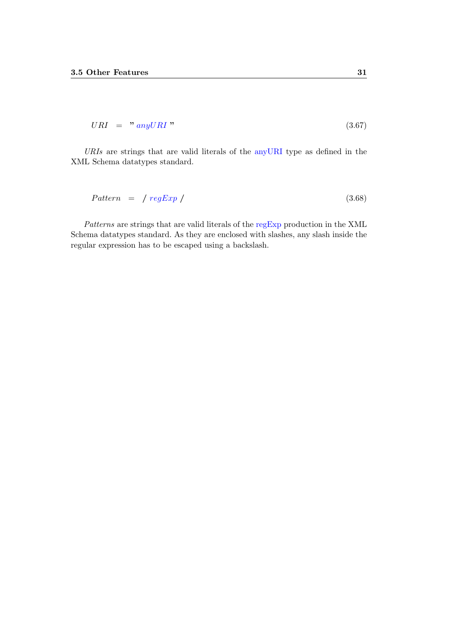$$
URI = "anyURI" \t\t(3.67)
$$

URIs are strings that are valid literals of the [anyURI](http://www.w3.org/TR/xmlschema-2/#anyURI) type as defined in the XML Schema datatypes standard.

$$
Pattern = / \operatorname{regExp} / \tag{3.68}
$$

Patterns are strings that are valid literals of the [regExp](http://www.w3.org/TR/xmlschema-2/#regexs) production in the XML Schema datatypes standard. As they are enclosed with slashes, any slash inside the regular expression has to be escaped using a backslash.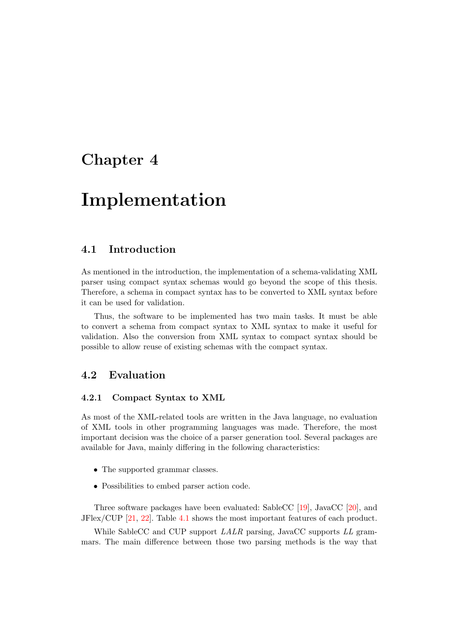## <span id="page-37-0"></span>Chapter 4

## Implementation

### <span id="page-37-1"></span>4.1 Introduction

As mentioned in the introduction, the implementation of a schema-validating XML parser using compact syntax schemas would go beyond the scope of this thesis. Therefore, a schema in compact syntax has to be converted to XML syntax before it can be used for validation.

Thus, the software to be implemented has two main tasks. It must be able to convert a schema from compact syntax to XML syntax to make it useful for validation. Also the conversion from XML syntax to compact syntax should be possible to allow reuse of existing schemas with the compact syntax.

## <span id="page-37-2"></span>4.2 Evaluation

#### <span id="page-37-3"></span>4.2.1 Compact Syntax to XML

As most of the XML-related tools are written in the Java language, no evaluation of XML tools in other programming languages was made. Therefore, the most important decision was the choice of a parser generation tool. Several packages are available for Java, mainly differing in the following characteristics:

- The supported grammar classes.
- Possibilities to embed parser action code.

Three software packages have been evaluated: SableCC [\[19\]](#page-47-4), JavaCC [\[20\]](#page-47-5), and JFlex/CUP [\[21,](#page-47-6) [22\]](#page-47-7). Table [4.1](#page-38-0) shows the most important features of each product.

While SableCC and CUP support LALR parsing, JavaCC supports LL grammars. The main difference between those two parsing methods is the way that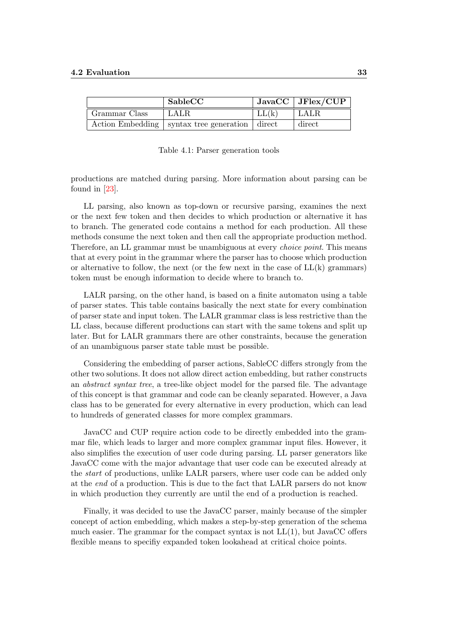|               | SableCC                                            |       | $\mid$ JavaCC $\mid$ JFlex/CUP |
|---------------|----------------------------------------------------|-------|--------------------------------|
| Grammar Class | LALR                                               | LL(k) | $^+$ LALR                      |
|               | Action Embedding   syntax tree generation   direct |       | direct                         |

<span id="page-38-0"></span>Table 4.1: Parser generation tools

productions are matched during parsing. More information about parsing can be found in [\[23\]](#page-47-8).

LL parsing, also known as top-down or recursive parsing, examines the next or the next few token and then decides to which production or alternative it has to branch. The generated code contains a method for each production. All these methods consume the next token and then call the appropriate production method. Therefore, an LL grammar must be unambiguous at every choice point. This means that at every point in the grammar where the parser has to choose which production or alternative to follow, the next (or the few next in the case of  $LL(k)$  grammars) token must be enough information to decide where to branch to.

LALR parsing, on the other hand, is based on a finite automaton using a table of parser states. This table contains basically the next state for every combination of parser state and input token. The LALR grammar class is less restrictive than the LL class, because different productions can start with the same tokens and split up later. But for LALR grammars there are other constraints, because the generation of an unambiguous parser state table must be possible.

Considering the embedding of parser actions, SableCC differs strongly from the other two solutions. It does not allow direct action embedding, but rather constructs an abstract syntax tree, a tree-like object model for the parsed file. The advantage of this concept is that grammar and code can be cleanly separated. However, a Java class has to be generated for every alternative in every production, which can lead to hundreds of generated classes for more complex grammars.

JavaCC and CUP require action code to be directly embedded into the grammar file, which leads to larger and more complex grammar input files. However, it also simplifies the execution of user code during parsing. LL parser generators like JavaCC come with the major advantage that user code can be executed already at the start of productions, unlike LALR parsers, where user code can be added only at the end of a production. This is due to the fact that LALR parsers do not know in which production they currently are until the end of a production is reached.

Finally, it was decided to use the JavaCC parser, mainly because of the simpler concept of action embedding, which makes a step-by-step generation of the schema much easier. The grammar for the compact syntax is not  $LL(1)$ , but JavaCC offers flexible means to specifiy expanded token lookahead at critical choice points.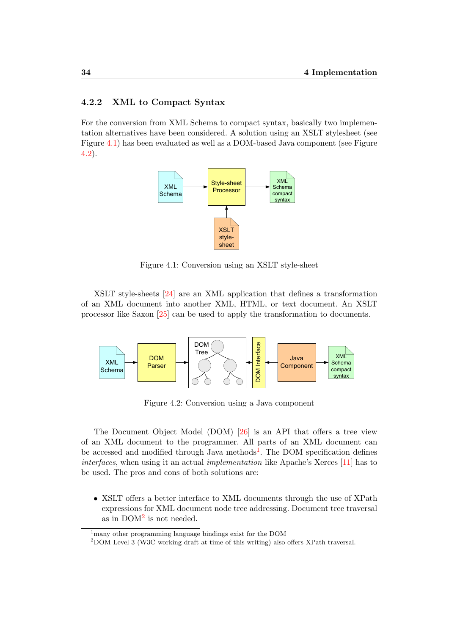#### <span id="page-39-0"></span>4.2.2 XML to Compact Syntax

For the conversion from XML Schema to compact syntax, basically two implementation alternatives have been considered. A solution using an XSLT stylesheet (see Figure [4.1\)](#page-39-1) has been evaluated as well as a DOM-based Java component (see Figure [4.2\)](#page-39-2).



<span id="page-39-1"></span>Figure 4.1: Conversion using an XSLT style-sheet

XSLT style-sheets [\[24\]](#page-47-9) are an XML application that defines a transformation of an XML document into another XML, HTML, or text document. An XSLT processor like Saxon [\[25\]](#page-47-10) can be used to apply the transformation to documents.



<span id="page-39-2"></span>Figure 4.2: Conversion using a Java component

The Document Object Model (DOM) [\[26\]](#page-47-11) is an API that offers a tree view of an XML document to the programmer. All parts of an XML document can be accessed and modified through Java methods<sup>[1](#page-39-3)</sup>. The DOM specification defines interfaces, when using it an actual implementation like Apache's Xerces [\[11\]](#page-46-10) has to be used. The pros and cons of both solutions are:

• XSLT offers a better interface to XML documents through the use of XPath expressions for XML document node tree addressing. Document tree traversal as in  $DOM^2$  $DOM^2$  is not needed.

<span id="page-39-3"></span><sup>&</sup>lt;sup>1</sup>many other programming language bindings exist for the DOM

<span id="page-39-4"></span><sup>2</sup>DOM Level 3 (W3C working draft at time of this writing) also offers XPath traversal.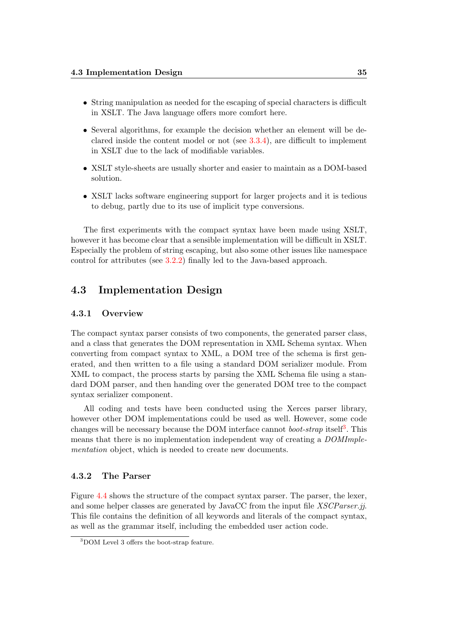- String manipulation as needed for the escaping of special characters is difficult in XSLT. The Java language offers more comfort here.
- Several algorithms, for example the decision whether an element will be declared inside the content model or not (see [3.3.4\)](#page-24-0), are difficult to implement in XSLT due to the lack of modifiable variables.
- XSLT style-sheets are usually shorter and easier to maintain as a DOM-based solution.
- XSLT lacks software engineering support for larger projects and it is tedious to debug, partly due to its use of implicit type conversions.

The first experiments with the compact syntax have been made using XSLT, however it has become clear that a sensible implementation will be difficult in XSLT. Especially the problem of string escaping, but also some other issues like namespace control for attributes (see [3.2.2\)](#page-18-0) finally led to the Java-based approach.

## <span id="page-40-0"></span>4.3 Implementation Design

#### <span id="page-40-1"></span>4.3.1 Overview

The compact syntax parser consists of two components, the generated parser class, and a class that generates the DOM representation in XML Schema syntax. When converting from compact syntax to XML, a DOM tree of the schema is first generated, and then written to a file using a standard DOM serializer module. From XML to compact, the process starts by parsing the XML Schema file using a standard DOM parser, and then handing over the generated DOM tree to the compact syntax serializer component.

All coding and tests have been conducted using the Xerces parser library, however other DOM implementations could be used as well. However, some code changes will be necessary because the DOM interface cannot *boot-strap* itself<sup>[3](#page-40-3)</sup>. This means that there is no implementation independent way of creating a DOMImplementation object, which is needed to create new documents.

#### <span id="page-40-2"></span>4.3.2 The Parser

Figure [4.4](#page-41-1) shows the structure of the compact syntax parser. The parser, the lexer, and some helper classes are generated by JavaCC from the input file XSCParser.jj. This file contains the definition of all keywords and literals of the compact syntax, as well as the grammar itself, including the embedded user action code.

<span id="page-40-3"></span><sup>3</sup>DOM Level 3 offers the boot-strap feature.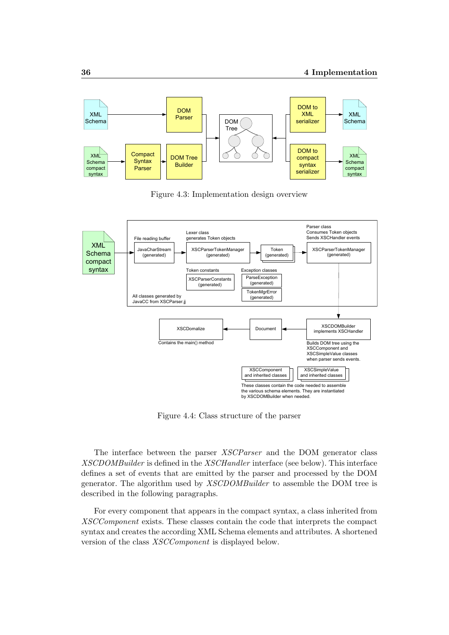

<span id="page-41-0"></span>Figure 4.3: Implementation design overview



<span id="page-41-1"></span>Figure 4.4: Class structure of the parser

The interface between the parser XSCParser and the DOM generator class XSCDOMBuilder is defined in the XSCHandler interface (see below). This interface defines a set of events that are emitted by the parser and processed by the DOM generator. The algorithm used by XSCDOMBuilder to assemble the DOM tree is described in the following paragraphs.

For every component that appears in the compact syntax, a class inherited from XSCComponent exists. These classes contain the code that interprets the compact syntax and creates the according XML Schema elements and attributes. A shortened version of the class XSCComponent is displayed below.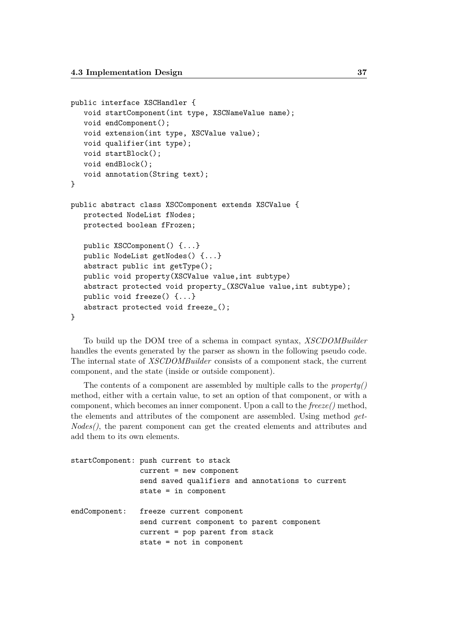```
public interface XSCHandler {
   void startComponent(int type, XSCNameValue name);
   void endComponent();
   void extension(int type, XSCValue value);
   void qualifier(int type);
   void startBlock();
   void endBlock();
   void annotation(String text);
}
public abstract class XSCComponent extends XSCValue {
   protected NodeList fNodes;
   protected boolean fFrozen;
   public XSCComponent() {...}
   public NodeList getNodes() {...}
   abstract public int getType();
   public void property(XSCValue value,int subtype)
   abstract protected void property_(XSCValue value,int subtype);
   public void freeze() {...}
   abstract protected void freeze_();
}
```
To build up the DOM tree of a schema in compact syntax, XSCDOMBuilder handles the events generated by the parser as shown in the following pseudo code. The internal state of XSCDOMBuilder consists of a component stack, the current component, and the state (inside or outside component).

The contents of a component are assembled by multiple calls to the *property*() method, either with a certain value, to set an option of that component, or with a component, which becomes an inner component. Upon a call to the  $\theta$ reeze() method, the elements and attributes of the component are assembled. Using method get-Nodes(), the parent component can get the created elements and attributes and add them to its own elements.

| startComponent: push current to stack            |
|--------------------------------------------------|
| $current = new component$                        |
| send saved qualifiers and annotations to current |
| $state = in component$                           |
|                                                  |
| endComponent: freeze current component           |
| send current component to parent component       |
| current = pop parent from stack                  |
| state = $not$ in component                       |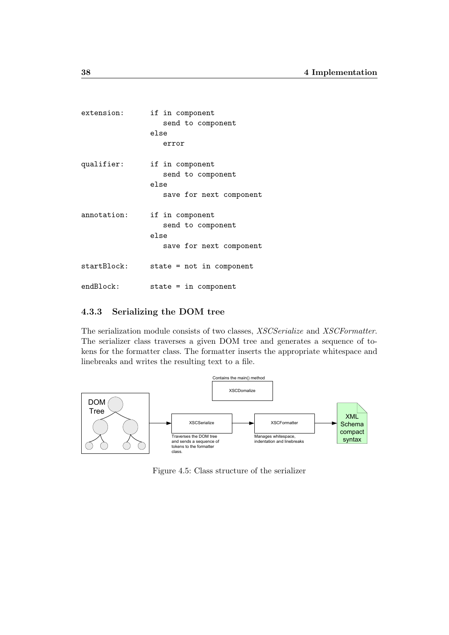| extension:  | if in component            |
|-------------|----------------------------|
|             | send to component          |
|             | else                       |
|             | error                      |
| qualifier:  | if in component            |
|             | send to component          |
|             | else                       |
|             | save for next component    |
| annotation: | if in component            |
|             | send to component          |
|             | else                       |
|             | save for next component    |
| startBlock: | $state = not in component$ |
| endBlock:   | $state = in component$     |

#### <span id="page-43-0"></span>4.3.3 Serializing the DOM tree

The serialization module consists of two classes, XSCSerialize and XSCFormatter. The serializer class traverses a given DOM tree and generates a sequence of tokens for the formatter class. The formatter inserts the appropriate whitespace and linebreaks and writes the resulting text to a file.



<span id="page-43-1"></span>Figure 4.5: Class structure of the serializer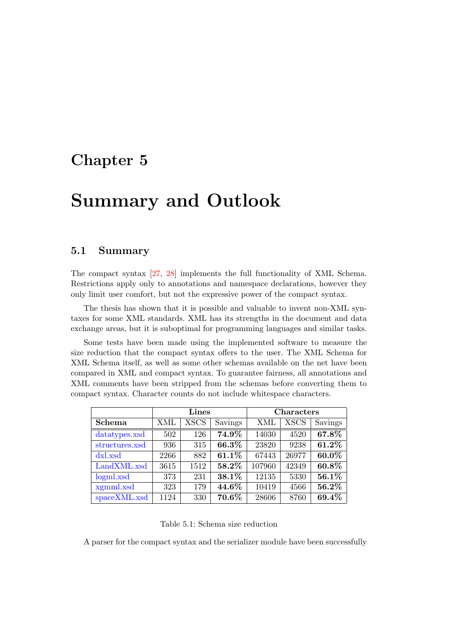## <span id="page-44-0"></span>Chapter 5

# Summary and Outlook

### <span id="page-44-1"></span>5.1 Summary

The compact syntax [\[27,](#page-47-12) [28\]](#page-47-13) implements the full functionality of XML Schema. Restrictions apply only to annotations and namespace declarations, however they only limit user comfort, but not the expressive power of the compact syntax.

The thesis has shown that it is possible and valuable to invent non-XML syntaxes for some XML standards. XML has its strengths in the document and data exchange areas, but it is suboptimal for programming languages and similar tasks.

Some tests have been made using the implemented software to measure the size reduction that the compact syntax offers to the user. The XML Schema for XML Schema itself, as well as some other schemas available on the net have been compared in XML and compact syntax. To guarantee fairness, all annotations and XML comments have been stripped from the schemas before converting them to compact syntax. Character counts do not include whitespace characters.

|                | Lines |             |          | <b>Characters</b> |             |         |
|----------------|-------|-------------|----------|-------------------|-------------|---------|
| <b>Schema</b>  | XML   | <b>XSCS</b> | Savings  | XML               | <b>XSCS</b> | Savings |
| datatypes.xsd  | 502   | 126         | 74.9%    | 14030             | 4520        | 67.8%   |
| structures.xsd | 936   | 315         | 66.3%    | 23820             | 9238        | 61.2%   |
| dxl.xsd        | 2266  | 882         | 61.1%    | 67443             | 26977       | 60.0%   |
| LandXML.xsd    | 3615  | 1512        | 58.2%    | 107960            | 42349       | 60.8%   |
| logml.xsd      | 373   | 231         | 38.1%    | 12135             | 5330        | 56.1%   |
| xgmml.xsd      | 323   | 179         | $44.6\%$ | 10419             | 4566        | 56.2%   |
| spaceXML.xsd   | 1124  | 330         | 70.6%    | 28606             | 8760        | 69.4%   |

<span id="page-44-2"></span>Table 5.1: Schema size reduction

A parser for the compact syntax and the serializer module have been successfully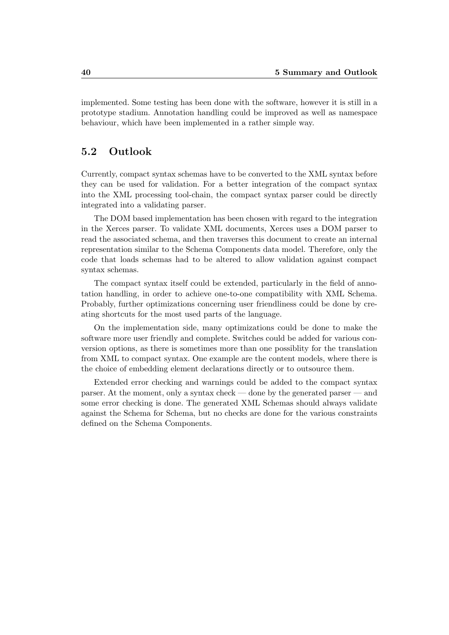implemented. Some testing has been done with the software, however it is still in a prototype stadium. Annotation handling could be improved as well as namespace behaviour, which have been implemented in a rather simple way.

### <span id="page-45-0"></span>5.2 Outlook

Currently, compact syntax schemas have to be converted to the XML syntax before they can be used for validation. For a better integration of the compact syntax into the XML processing tool-chain, the compact syntax parser could be directly integrated into a validating parser.

The DOM based implementation has been chosen with regard to the integration in the Xerces parser. To validate XML documents, Xerces uses a DOM parser to read the associated schema, and then traverses this document to create an internal representation similar to the Schema Components data model. Therefore, only the code that loads schemas had to be altered to allow validation against compact syntax schemas.

The compact syntax itself could be extended, particularly in the field of annotation handling, in order to achieve one-to-one compatibility with XML Schema. Probably, further optimizations concerning user friendliness could be done by creating shortcuts for the most used parts of the language.

On the implementation side, many optimizations could be done to make the software more user friendly and complete. Switches could be added for various conversion options, as there is sometimes more than one possiblity for the translation from XML to compact syntax. One example are the content models, where there is the choice of embedding element declarations directly or to outsource them.

Extended error checking and warnings could be added to the compact syntax parser. At the moment, only a syntax check — done by the generated parser — and some error checking is done. The generated XML Schemas should always validate against the Schema for Schema, but no checks are done for the various constraints defined on the Schema Components.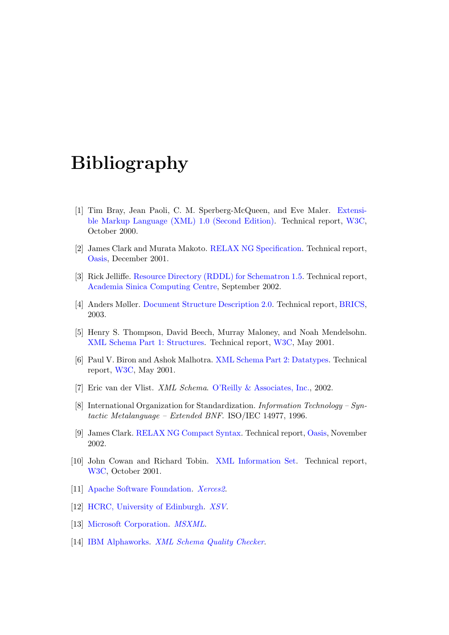## Bibliography

- <span id="page-46-0"></span>[1] Tim Bray, Jean Paoli, C. M. Sperberg-McQueen, and Eve Maler. [Extensi](http://www.w3.org/TR/REC-xml)[ble Markup Language \(XML\) 1.0 \(Second Edition\).](http://www.w3.org/TR/REC-xml) Technical report, [W3C,](http://www.w3.org/) October 2000.
- <span id="page-46-1"></span>[2] James Clark and Murata Makoto. [RELAX NG Specification.](http://www.oasis-open.org/committees/relax-ng/spec-20011203.html) Technical report, [Oasis,](http://www.oasis-open.org/) December 2001.
- <span id="page-46-2"></span>[3] Rick Jelliffe. [Resource Directory \(RDDL\) for Schematron 1.5.](http://www.ascc.net/xml/schematron/) Technical report, [Academia Sinica Computing Centre,](http://www.ascc.net/) September 2002.
- <span id="page-46-3"></span>[4] Anders Møller. [Document Structure Description 2.0.](http://www.brics.dk/DSD/dsd2.html) Technical report, [BRICS,](http://www.brics.dk) 2003.
- <span id="page-46-4"></span>[5] Henry S. Thompson, David Beech, Murray Maloney, and Noah Mendelsohn. [XML Schema Part 1: Structures.](http://www.w3.org/TR/xmlschema-1/) Technical report, [W3C,](http://www.w3.org/) May 2001.
- <span id="page-46-5"></span>[6] Paul V. Biron and Ashok Malhotra. [XML Schema Part 2: Datatypes.](http://www.w3.org/TR/xmlschema-2/) Technical report, [W3C,](http://www.w3.org/) May 2001.
- <span id="page-46-6"></span>[7] Eric van der Vlist. XML Schema. [O'Reilly & Associates, Inc.,](http://www.oreilly.com) 2002.
- <span id="page-46-7"></span>[8] International Organization for Standardization. Information Technology – Syntactic Metalanguage – Extended BNF. ISO/IEC 14977, 1996.
- <span id="page-46-8"></span>[9] James Clark. [RELAX NG Compact Syntax.](http://oasis-open.org/committees/relax-ng/compact-20021121.html) Technical report, [Oasis,](http://www.oasis-open.org/) November 2002.
- <span id="page-46-9"></span>[10] John Cowan and Richard Tobin. [XML Information Set.](http://www.w3.org/TR/xml-infoset/) Technical report, [W3C,](http://www.w3.org/) October 2001.
- <span id="page-46-10"></span>[11] [Apache Software Foundation.](http://www.apache.org/) [Xerces2](http://xml.apache.org/xerces2-j/index.html).
- <span id="page-46-11"></span>[12] [HCRC, University of Edinburgh.](http://www.hcrc.ed.ac.uk/) [XSV](http://www.ltg.ed.ac.uk/~ht/xsv-status.html).
- <span id="page-46-12"></span>[13] [Microsoft Corporation.](http://www.microsoft.com/) *[MSXML](http://msdn.microsoft.com/xml/)*.
- <span id="page-46-13"></span>[14] [IBM Alphaworks.](http://www.alphaworks.ibm.com/) [XML Schema Quality Checker](http://www.alphaworks.ibm.com/tech/xmlsqc).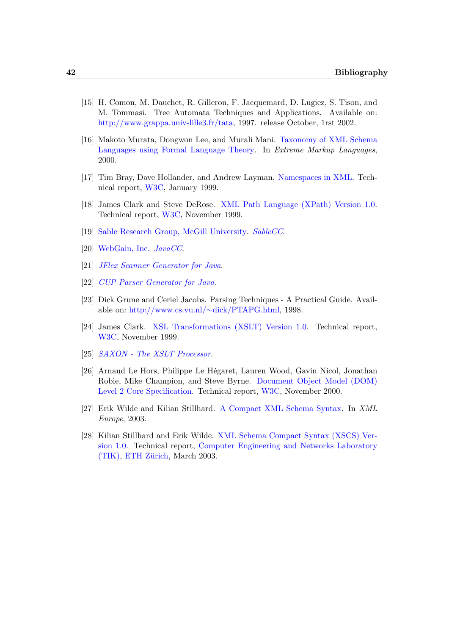- <span id="page-47-0"></span>[15] H. Comon, M. Dauchet, R. Gilleron, F. Jacquemard, D. Lugiez, S. Tison, and M. Tommasi. Tree Automata Techniques and Applications. Available on: [http://www.grappa.univ-lille3.fr/tata,](http://www.grappa.univ-lille3.fr/tata) 1997. release October, 1rst 2002.
- <span id="page-47-1"></span>[16] Makoto Murata, Dongwon Lee, and Murali Mani. [Taxonomy of XML Schema](http://nike.psu.edu/publications/mura0619.pdf) [Languages using Formal Language Theory.](http://nike.psu.edu/publications/mura0619.pdf) In Extreme Markup Languages, 2000.
- <span id="page-47-2"></span>[17] Tim Bray, Dave Hollander, and Andrew Layman. [Namespaces in XML.](http://www.w3.org/TR/REC-xml-names/) Technical report, [W3C,](http://www.w3.org/) January 1999.
- <span id="page-47-3"></span>[18] James Clark and Steve DeRose. [XML Path Language \(XPath\) Version 1.0.](http://www.w3.org/TR/xpath) Technical report, [W3C,](http://www.w3.org/) November 1999.
- <span id="page-47-4"></span>[19] [Sable Research Group, McGill University.](http://www.sable.mcgill.ca/) [SableCC](http://www.sablecc.org/).
- <span id="page-47-5"></span>[20] [WebGain, Inc.](http://www.webgain.com/) [JavaCC](http://www.webgain.com/products/java_cc/).
- <span id="page-47-6"></span>[21] [JFlex Scanner Generator for Java](http://www.jflex.de/).
- <span id="page-47-7"></span>[22] [CUP Parser Generator for Java](http://www.cs.princeton.edu/~appel/modern/java/CUP/index.html).
- <span id="page-47-8"></span>[23] Dick Grune and Ceriel Jacobs. Parsing Techniques - A Practical Guide. Available on: [http://www.cs.vu.nl/](http://www.cs.vu.nl/~dick/PTAPG.html)∼dick/PTAPG.html, 1998.
- <span id="page-47-9"></span>[24] James Clark. [XSL Transformations \(XSLT\) Version 1.0.](http://www.w3.org/TR/xslt) Technical report, [W3C,](http://www.w3.org/) November 1999.
- <span id="page-47-10"></span>[25] [SAXON - The XSLT Processor](http://saxon.sourceforge.net/).
- <span id="page-47-11"></span>[26] Arnaud Le Hors, Philippe Le Hégaret, Lauren Wood, Gavin Nicol, Jonathan Robie, Mike Champion, and Steve Byrne. [Document Object Model \(DOM\)](http://www.w3.org/TR/DOM-Level-2-Core/) [Level 2 Core Specification.](http://www.w3.org/TR/DOM-Level-2-Core/) Technical report, [W3C,](http://www.w3.org/) November 2000.
- <span id="page-47-12"></span>[27] Erik Wilde and Kilian Stillhard. [A Compact XML Schema Syntax.](http://dret.net/netdret/docs/wilde-xmleurope2003.html) In XML Europe, 2003.
- <span id="page-47-13"></span>[28] Kilian Stillhard and Erik Wilde. [XML Schema Compact Syntax \(XSCS\) Ver](http://www.tik.ee.ethz.ch/db/tik/publications/report_list_selected_publications.php3?type=TIK+Report&submitIt=search)[sion 1.0.](http://www.tik.ee.ethz.ch/db/tik/publications/report_list_selected_publications.php3?type=TIK+Report&submitIt=search) Technical report, [Computer Engineering and Networks Laboratory](http://www.tik.ee.ethz.ch/)  $(TIK)$ , ETH Zürich, March 2003.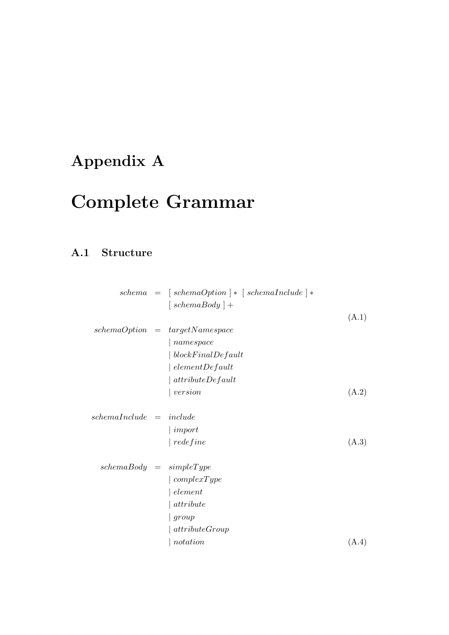# <span id="page-48-0"></span>Appendix A

# Complete Grammar

## <span id="page-48-1"></span>A.1 Structure

|                            | $schema = [schemaOption] * [schemaIndude] *$       |       |
|----------------------------|----------------------------------------------------|-------|
|                            | $\int \operatorname{cchem}(\operatorname{Body}) +$ |       |
|                            |                                                    | (A.1) |
|                            | $schemaOption = targetName space$                  |       |
|                            | $\mid$ namespace                                   |       |
|                            | $\vert \ blockFinalDefault$                        |       |
|                            | $\vert$ elementDefault                             |       |
|                            | $ $ attributeDefault                               |       |
|                            | version                                            | (A.2) |
|                            |                                                    |       |
| $schemal nclude = include$ |                                                    |       |
|                            | $\mid import$                                      |       |
|                            | $\vert$ redefine                                   | (A.3) |
| $schemaBody = simpleType$  |                                                    |       |
|                            | $\vert \ complex Type$                             |       |
|                            | element                                            |       |
|                            | attribute                                          |       |
|                            | group                                              |       |
|                            | attributeGroup                                     |       |
|                            | notation                                           | (A.4) |
|                            |                                                    |       |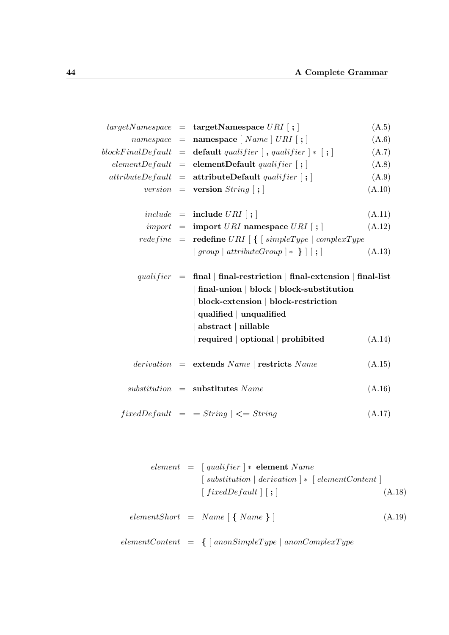|  | $targetName space = targetName space URI$ ;                                                                                                                                                                                                                   | (A.5)  |
|--|---------------------------------------------------------------------------------------------------------------------------------------------------------------------------------------------------------------------------------------------------------------|--------|
|  | $namespace = \textbf{namespace} \mid Name \mid URL \mid ; \mid$                                                                                                                                                                                               | (A.6)  |
|  | blockFinalDefault = $\textbf{default } quality$ qualifier $\left[ , \textit{qualifier} \right] * \left[ ; \right]$                                                                                                                                            | (A.7)  |
|  | $elementDefault = elementDefault\ quality[i]$                                                                                                                                                                                                                 | (A.8)  |
|  | $attributeDefault = attributeDefault$ qualifier $\vert \cdot \rangle$                                                                                                                                                                                         | (A.9)  |
|  | version = version $String [ ; ]$                                                                                                                                                                                                                              | (A.10) |
|  |                                                                                                                                                                                                                                                               |        |
|  | $include \quad = \quad \textbf{include} \; URI \; [ ; ]$                                                                                                                                                                                                      | (A.11) |
|  | $import = import \text{ } URI$ namespace $\text{ } URI$   ;                                                                                                                                                                                                   | (A.12) |
|  | $redefine = \textbf{redefine} \textit{URI} \mid \{ \text{ [simpleType} \mid complexType \}$                                                                                                                                                                   |        |
|  | $\mid group \mid attributeGroup \mid * \mid   \mid ; \mid$                                                                                                                                                                                                    | (A.13) |
|  | qualifier = final   final-restriction   final-extension   final-list<br>final-union   block   block-substitution<br>  block-extension   block-restriction<br>$\mid$ qualified $\mid$ unqualified<br>  abstract   nillable<br>required   optional   prohibited | (A.14) |
|  | $derivation = extends Name   restricts Name$                                                                                                                                                                                                                  | (A.15) |
|  | $substitution$ = substitutes Name                                                                                                                                                                                                                             | (A.16) |
|  | $fixedDefault = String \mid \leq = String$                                                                                                                                                                                                                    | (A.17) |

$$
element = [qualifier] * element Name
$$
  
\n
$$
[ substitution | derivation] * [ elementContent ]
$$
  
\n
$$
[ fixedDefault] [ ; ]
$$
  
\n
$$
elementShort = Name [ { Name } ]
$$
  
\n
$$
elementContent = { [ anonSimpleType | a nonComplexType
$$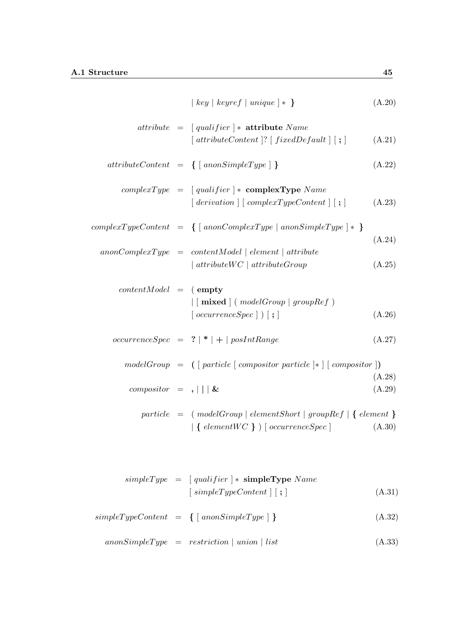$$
attribute = [qualifier] * attribute Name
$$
  
\n
$$
[attributeContent] ? [fixedDefault] [ ; ]
$$
 (A.21)

$$
attributeContent = \{ [ \;anonSimpleType ] \; \} \tag{A.22}
$$

$$
complexType = [qualifier] * complexType Name
$$
  
[ derivation] [complexTypeContent] [ ; ] (A.23)

$$
complexTypeContent = \{ [ \text{ a nonComplexType } | \text{ a nonSimpleType } ] * \} \tag{A.24}
$$

$$
anonComplexType = contentModel | element | attribute
$$
  
\n
$$
| attributeWC | attributeGroup
$$
\n(A.25)

$$
contentModel = (empty\n| [mixed] (modelGroup | groupRef )\n[ occurrenceSpec] ) [ ;]
$$
\n(A.26)

$$
occurrenceSpec = ? \mid * \mid + \mid posIntRange \tag{A.27}
$$

$$
modelGroup = ([particle [composition particle]*][composition])
$$
\n
$$
composition = , || | \&
$$
\n
$$
(A.28)
$$
\n
$$
(A.29)
$$

$$
particle = (modelGroup | elementShort | groupRef | { element }\n | \{ elementWC \} ) [ occurrenceSpec ]
$$
\n(A.30)

$$
simpleType = [qualifier] * simpleType Name
$$
  
\n
$$
[simpleTypeContent] [ ; ]
$$
  
\n
$$
simpleTypeContent = \{ [anonSimpleType] \}
$$
  
\n(A.31)

$$
an on SimpleType = restriction \mid union \mid list
$$
\n(A.33)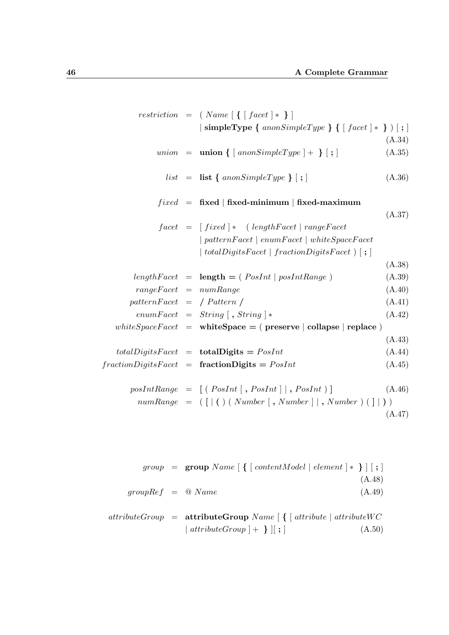|                             | $restriction = \{ Name \mid \{\mid face\} \mid \}$                                 |  |
|-----------------------------|------------------------------------------------------------------------------------|--|
|                             | $\vert$ simpleType { $anonSimpleType$ } { $\vert$ facet $\vert *$ } $\rangle$ [; ] |  |
|                             | (A.34)                                                                             |  |
|                             | union = $\text{union} \{ \} \{ \text{nonSimpleType} \} + \}$<br>(A.35)             |  |
|                             | $list = list \{ \text{anonsimpleType} \}$ ;<br>(A.36)                              |  |
|                             | $fixed$ = fixed   fixed-minimum   fixed-maximum                                    |  |
|                             | (A.37)                                                                             |  |
|                             | $facet = [fixed] * (lengthFace   rangeFace$                                        |  |
|                             | $\mid patternFacet \mid enumFacet \mid whiteSpaceFacet$                            |  |
|                             | totalDigitsFacet   fractionDigitsFacet $  \cdot  $ ; $ $                           |  |
|                             | (A.38)                                                                             |  |
|                             | (A.39)<br>$lengthFace t = length = (PosInt   posIntRange)$                         |  |
| $rangeFace t = numRange$    | (A.40)                                                                             |  |
| $patternFacet = /Pattern /$ | (A.41)                                                                             |  |
|                             | (A.42)<br>$enumFacet = String [$ , $String$ $]*$                                   |  |
|                             | white $SpaceFace$ = white $Space$ = (preserve   collapse   replace)                |  |
|                             | (A.43)                                                                             |  |
|                             | $totalDigitsFace t = totalDigits = PosInt$<br>(A.44)                               |  |
|                             | $fraction DigitsFace t = fraction Digits = PosInt$<br>(A.45)                       |  |
|                             | $posIntRange = [(PosInt[, PosInt], PosInt]$ , $PosInt)$<br>(A.46)                  |  |
|                             | $numRange = ( [   ()   Number   , Number   , Number   ) ( ]   ) )$                 |  |
|                             | (A.47)                                                                             |  |

|                                   | group = $\text{group Name} \{ \} \{ \} \text{contentModel} \} \{ \} \} \} \}$ |        |
|-----------------------------------|-------------------------------------------------------------------------------|--------|
|                                   |                                                                               | (A.48) |
| $groupRef = \textcircled{0} Name$ |                                                                               | (A.49) |
|                                   |                                                                               |        |

|  | $attributeGroup =$ attributeGroup Name $\lceil \int$ attribute $ $ attributeWC |        |
|--|--------------------------------------------------------------------------------|--------|
|  | $\mid$ attributeGroup $\mid + \}$ $\mid$ ; $\mid$                              | (A.50) |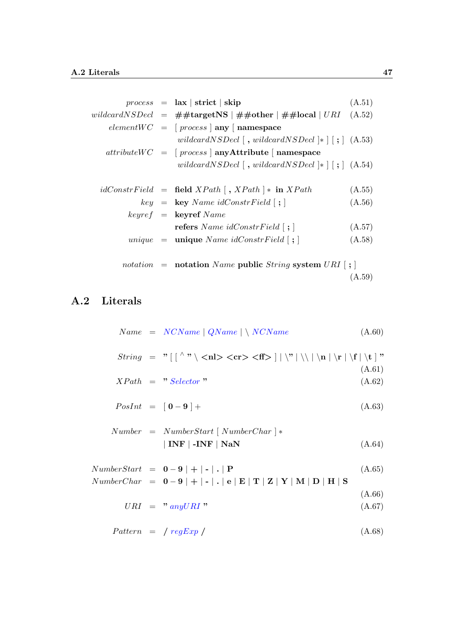|  | $process = \mathbf{ax}   \mathbf{strict}   \mathbf{skip}$                                         | (A.51) |
|--|---------------------------------------------------------------------------------------------------|--------|
|  | wildcardNSDecl = $\#$ #targetNS   $\#$ #other   $\#$ #local   URI                                 | (A.52) |
|  | $elementWC = [process   any   namespace$                                                          |        |
|  | wildcardNSDecl $\lceil$ , wildcardNSDecl $\lceil$ $\cdot \rceil$ $($ A.53)                        |        |
|  | $attributeWC = [process   anyAttribute   namespace$                                               |        |
|  | wildcardNSDecl $\lceil$ , wildcardNSDecl $\lceil$ $\cdot \rceil$ $\lceil$ $\cdot \rceil$ $(A.54)$ |        |
|  |                                                                                                   |        |
|  | $idConstructField = field XPath$ , $XPath$   * in $XPath$                                         | (A.55) |
|  | $key = \text{key } Name \ idConstruct \text{[}; \text{] }$                                        | (A.56) |
|  | $keyref = \text{keyref } Name$                                                                    |        |
|  | <b>refers</b> Name idConstrField $ \;;\;$                                                         | (A.57) |
|  | <i>unique</i> = <b>unique</b> Name $idConstruct$ [; ]                                             | (A.58) |
|  |                                                                                                   |        |
|  | <i>notation</i> = <b>notation</b> Name <b>public</b> String system $URI$ [; ]                     |        |
|  |                                                                                                   | (A.59) |

## <span id="page-52-0"></span>A.2 Literals

|  | $Name = NCName   QName   \ NCName$                                                                                 | (A.60)           |
|--|--------------------------------------------------------------------------------------------------------------------|------------------|
|  |                                                                                                                    |                  |
|  | $XPath = "Selector"$                                                                                               | (A.61)<br>(A.62) |
|  | $PosInt = [0 - 9] +$                                                                                               | (A.63)           |
|  | $Number = NumberStart$ [NumberChar]*<br>$\mid$ INF $\mid$ -INF $\mid$ NaN                                          | (A.64)           |
|  | $NumberStart = 0-9 \mid + \mid - \mid$ .   P<br>$NumberChar = 0-9$   +   -   .   e   E   T   Z   Y   M   D   H   S | (A.65)           |
|  | $URI = "anyURI"$                                                                                                   | (A.66)<br>(A.67) |
|  | $Pattern = / regExp /$                                                                                             | (A.68)           |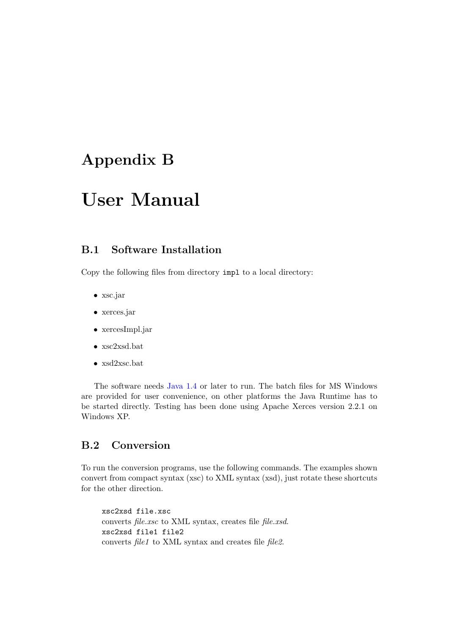## <span id="page-53-0"></span>Appendix B

# User Manual

## <span id="page-53-1"></span>B.1 Software Installation

Copy the following files from directory impl to a local directory:

- xsc.jar
- xerces.jar
- xercesImpl.jar
- xsc2xsd.bat
- xsd2xsc.bat

The software needs [Java 1.4](http://java.sun.com/) or later to run. The batch files for MS Windows are provided for user convenience, on other platforms the Java Runtime has to be started directly. Testing has been done using Apache Xerces version 2.2.1 on Windows XP.

## <span id="page-53-2"></span>B.2 Conversion

To run the conversion programs, use the following commands. The examples shown convert from compact syntax (xsc) to XML syntax (xsd), just rotate these shortcuts for the other direction.

xsc2xsd file.xsc converts file.xsc to XML syntax, creates file file.xsd. xsc2xsd file1 file2 converts *file1* to XML syntax and creates file *file2*.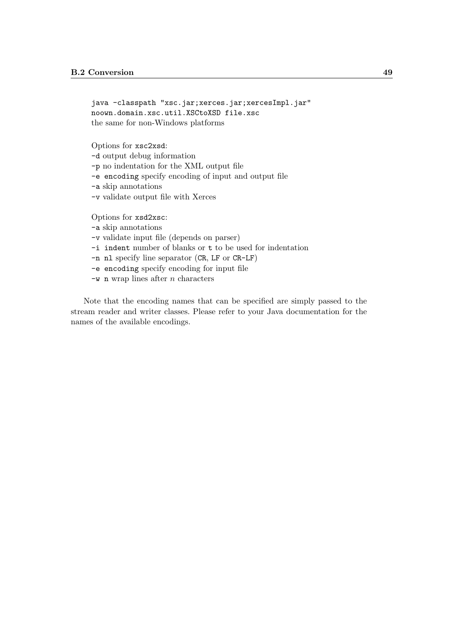```
java -classpath "xsc.jar;xerces.jar;xercesImpl.jar"
noown.domain.xsc.util.XSCtoXSD file.xsc
the same for non-Windows platforms
```
Options for xsc2xsd:

-d output debug information

-p no indentation for the XML output file

-e encoding specify encoding of input and output file

-a skip annotations

-v validate output file with Xerces

Options for xsd2xsc:

-a skip annotations

- -v validate input file (depends on parser)
- -i indent number of blanks or t to be used for indentation

-n nl specify line separator (CR, LF or CR-LF)

-e encoding specify encoding for input file

 $-w$  n wrap lines after *n* characters

Note that the encoding names that can be specified are simply passed to the stream reader and writer classes. Please refer to your Java documentation for the names of the available encodings.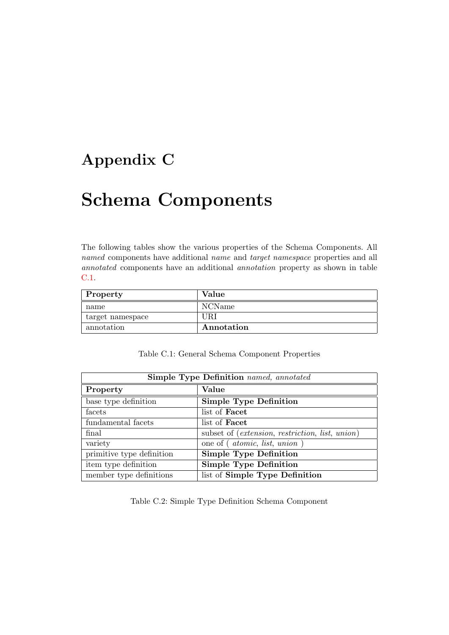## <span id="page-55-0"></span>Appendix C

# Schema Components

The following tables show the various properties of the Schema Components. All named components have additional name and target namespace properties and all annotated components have an additional annotation property as shown in table [C.1.](#page-55-1)

| Property         | Value      |
|------------------|------------|
| name             | NCName     |
| target namespace | JR.I       |
| annotation       | Annotation |

| <b>Simple Type Definition</b> named, annotated |                                                        |  |
|------------------------------------------------|--------------------------------------------------------|--|
| Property                                       | Value                                                  |  |
| base type definition                           | <b>Simple Type Definition</b>                          |  |
| facets                                         | list of <b>Facet</b>                                   |  |
| fundamental facets                             | list of <b>Facet</b>                                   |  |
| final                                          | subset of <i>(extension, restriction, list, union)</i> |  |
| variety                                        | one of ( <i>atomic</i> , <i>list</i> , <i>union</i> )  |  |
| primitive type definition                      | <b>Simple Type Definition</b>                          |  |
| item type definition                           | <b>Simple Type Definition</b>                          |  |
| member type definitions                        | list of Simple Type Definition                         |  |

<span id="page-55-1"></span>Table C.1: General Schema Component Properties

<span id="page-55-2"></span>Table C.2: Simple Type Definition Schema Component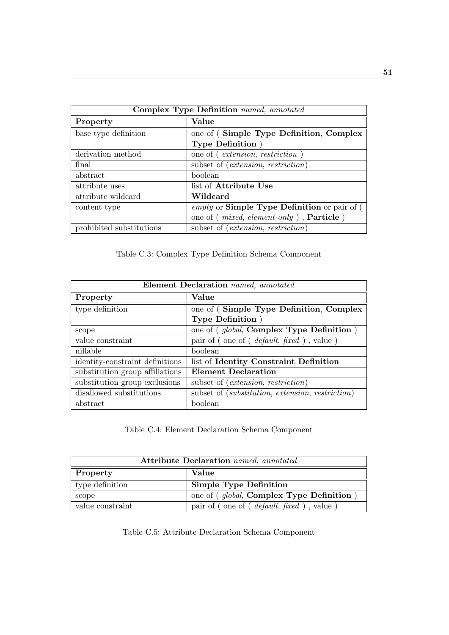| Complex Type Definition named, annotated |                                                          |  |
|------------------------------------------|----------------------------------------------------------|--|
| Property                                 | Value                                                    |  |
| base type definition                     | one of (Simple Type Definition, Complex                  |  |
|                                          | <b>Type Definition</b> )                                 |  |
| derivation method                        | one of ( <i>extension, restriction</i> )                 |  |
| final                                    | subset of <i>(extension, restriction)</i>                |  |
| abstract                                 | boolean                                                  |  |
| attribute uses                           | list of Attribute Use                                    |  |
| attribute wildcard                       | Wildcard                                                 |  |
| content type                             | empty or Simple Type Definition or pair of (             |  |
|                                          | one of ( <i>mixed, element-only</i> ), <b>Particle</b> ) |  |
| prohibited substitutions                 | subset of <i>(extension, restriction)</i>                |  |

<span id="page-56-0"></span>Table C.3: Complex Type Definition Schema Component

| Element Declaration named, annotated |                                                                           |  |
|--------------------------------------|---------------------------------------------------------------------------|--|
| Property                             | Value                                                                     |  |
| type definition                      | one of (Simple Type Definition, Complex                                   |  |
|                                      | <b>Type Definition</b> )                                                  |  |
| scope                                | one of ( <i>global</i> , <b>Complex Type Definition</b> )                 |  |
| value constraint                     | pair of (one of ( <i>default, fixed</i> ), value)                         |  |
| nillable                             | boolean                                                                   |  |
| identity-constraint definitions      | list of Identity Constraint Definition                                    |  |
| substitution group affiliations      | Element Declaration                                                       |  |
| substitution group exclusions        | subset of <i>(extension, restriction)</i>                                 |  |
| disallowed substitutions             | subset of ( <i>substitution</i> , <i>extension</i> , <i>restriction</i> ) |  |
| abstract                             | boolean                                                                   |  |

<span id="page-56-1"></span>Table C.4: Element Declaration Schema Component

| Attribute Declaration named, annotated |                                                         |  |
|----------------------------------------|---------------------------------------------------------|--|
| Property                               | Value                                                   |  |
| type definition                        | <b>Simple Type Definition</b>                           |  |
| scope                                  | one of ( <i>global</i> , <b>Complex Type Definition</b> |  |
| value constraint                       | pair of (one of ( <i>default, fixed</i> ), value)       |  |

<span id="page-56-2"></span>Table C.5: Attribute Declaration Schema Component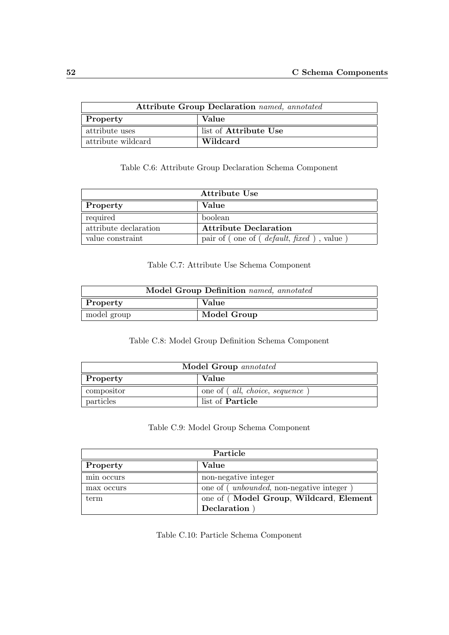| <b>Attribute Group Declaration</b> named, annotated |                              |  |
|-----------------------------------------------------|------------------------------|--|
| Property                                            | Value                        |  |
| attribute uses                                      | list of <b>Attribute</b> Use |  |
| attribute wildcard                                  | Wildcard                     |  |

<span id="page-57-0"></span>Table C.6: Attribute Group Declaration Schema Component

| Attribute Use         |                                                  |  |
|-----------------------|--------------------------------------------------|--|
| Property              | Value                                            |  |
| required              | boolean                                          |  |
| attribute declaration | <b>Attribute Declaration</b>                     |  |
| value constraint      | pair of (one of ( <i>default, fixed</i> ), value |  |

#### <span id="page-57-1"></span>Table C.7: Attribute Use Schema Component

| Model Group Definition named, annotated |             |  |
|-----------------------------------------|-------------|--|
| Property                                | Value       |  |
| model group                             | Model Group |  |

### <span id="page-57-2"></span>Table C.8: Model Group Definition Schema Component

| Model Group annotated |                                       |  |
|-----------------------|---------------------------------------|--|
| <b>Property</b>       | Value                                 |  |
| compositor            | one of ( <i>all, choice, sequence</i> |  |
| particles             | list of <b>Particle</b>               |  |

### <span id="page-57-3"></span>Table C.9: Model Group Schema Component

| Particle   |                                                   |
|------------|---------------------------------------------------|
| Property   | Value                                             |
| min occurs | non-negative integer                              |
| max occurs | one of ( <i>unbounded</i> , non-negative integer) |
| term       | one of (Model Group, Wildcard, Element            |
|            | Declaration                                       |

<span id="page-57-4"></span>Table C.10: Particle Schema Component